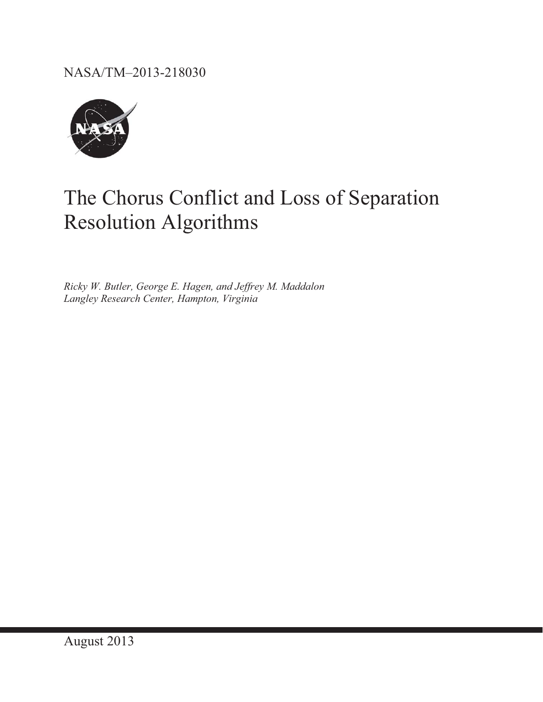NASA/TM–2013-218030



# The Chorus Conflict and Loss of Separation Resolution Algorithms

*Ricky W. Butler, George E. Hagen, and Jeffrey M. Maddalon Langley Research Center, Hampton, Virginia*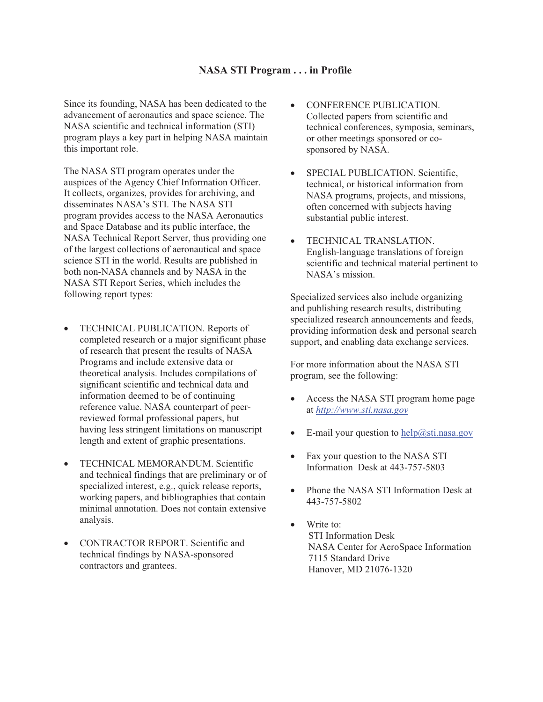#### **NASA STI Program . . . in Profile**

Since its founding, NASA has been dedicated to the advancement of aeronautics and space science. The NASA scientific and technical information (STI) program plays a key part in helping NASA maintain this important role.

The NASA STI program operates under the auspices of the Agency Chief Information Officer. It collects, organizes, provides for archiving, and disseminates NASA's STI. The NASA STI program provides access to the NASA Aeronautics and Space Database and its public interface, the NASA Technical Report Server, thus providing one of the largest collections of aeronautical and space science STI in the world. Results are published in both non-NASA channels and by NASA in the NASA STI Report Series, which includes the following report types:

- TECHNICAL PUBLICATION. Reports of completed research or a major significant phase of research that present the results of NASA Programs and include extensive data or theoretical analysis. Includes compilations of significant scientific and technical data and information deemed to be of continuing reference value. NASA counterpart of peerreviewed formal professional papers, but having less stringent limitations on manuscript length and extent of graphic presentations.
- TECHNICAL MEMORANDUM. Scientific and technical findings that are preliminary or of specialized interest, e.g., quick release reports, working papers, and bibliographies that contain minimal annotation. Does not contain extensive analysis.
- ! CONTRACTOR REPORT. Scientific and technical findings by NASA-sponsored contractors and grantees.
- CONFERENCE PUBLICATION. Collected papers from scientific and technical conferences, symposia, seminars, or other meetings sponsored or cosponsored by NASA.
- SPECIAL PUBLICATION. Scientific, technical, or historical information from NASA programs, projects, and missions, often concerned with subjects having substantial public interest.
- TECHNICAL TRANSLATION. English-language translations of foreign scientific and technical material pertinent to NASA's mission.

Specialized services also include organizing and publishing research results, distributing specialized research announcements and feeds, providing information desk and personal search support, and enabling data exchange services.

For more information about the NASA STI program, see the following:

- Access the NASA STI program home page at *http://www.sti.nasa.gov*
- E-mail your question to  $\frac{help(@sti.nasa.gov)}{$
- Fax your question to the NASA STI Information Desk at 443-757-5803
- ! Phone the NASA STI Information Desk at 443-757-5802
- Write to: STI Information Desk NASA Center for AeroSpace Information 7115 Standard Drive Hanover, MD 21076-1320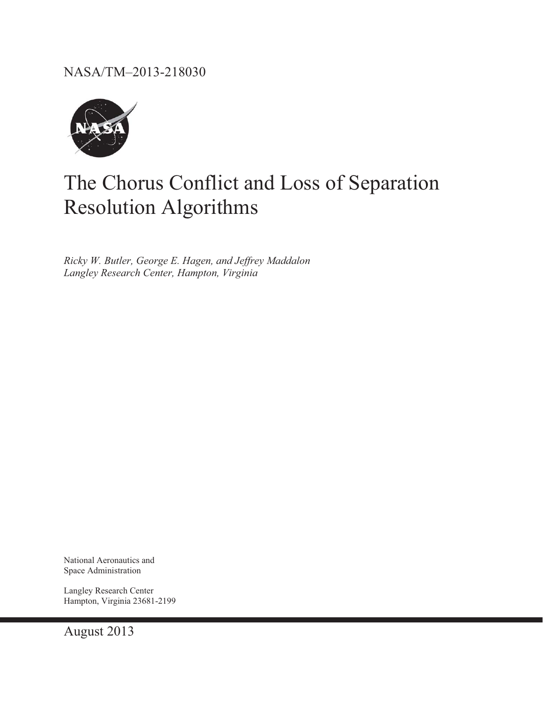NASA/TM–2013-218030



# The Chorus Conflict and Loss of Separation Resolution Algorithms

*Ricky W. Butler, George E. Hagen, and Jeffrey Maddalon Langley Research Center, Hampton, Virginia* 

National Aeronautics and Space Administration

Langley Research Center Hampton, Virginia 23681-2199

August 2013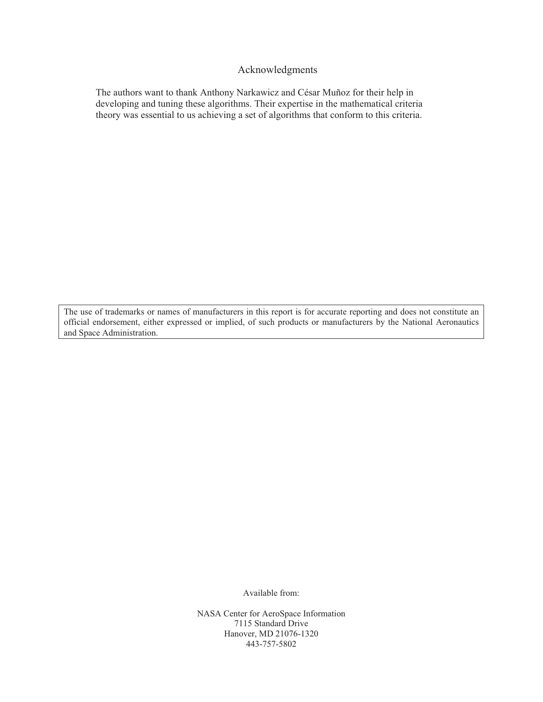#### Acknowledgments

The authors want to thank Anthony Narkawicz and César Muñoz for their help in developing and tuning these algorithms. Their expertise in the mathematical criteria theory was essential to us achieving a set of algorithms that conform to this criteria.

The use of trademarks or names of manufacturers in this report is for accurate reporting and does not constitute an official endorsement, either expressed or implied, of such products or manufacturers by the National Aeronautics and Space Administration.

Available from:

NASA Center for AeroSpace Information 7115 Standard Drive Hanover, MD 21076-1320 443-757-5802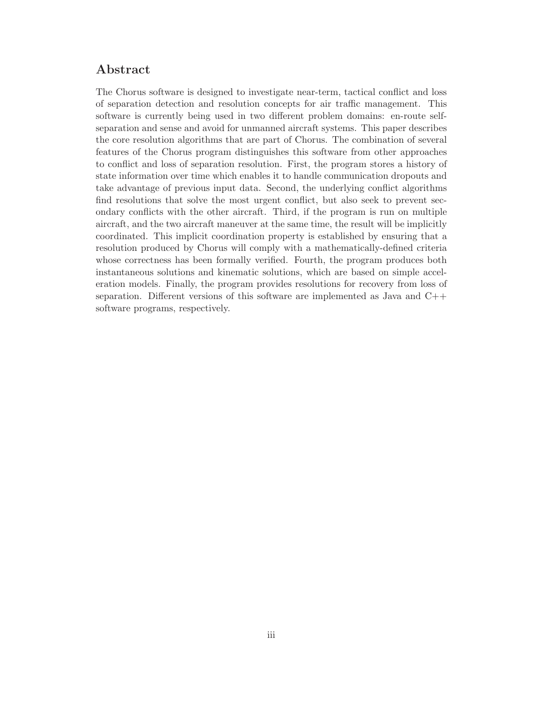## Abstract

The Chorus software is designed to investigate near-term, tactical conflict and loss of separation detection and resolution concepts for air traffic management. This software is currently being used in two different problem domains: en-route selfseparation and sense and avoid for unmanned aircraft systems. This paper describes the core resolution algorithms that are part of Chorus. The combination of several features of the Chorus program distinguishes this software from other approaches to conflict and loss of separation resolution. First, the program stores a history of state information over time which enables it to handle communication dropouts and take advantage of previous input data. Second, the underlying conflict algorithms find resolutions that solve the most urgent conflict, but also seek to prevent secondary conflicts with the other aircraft. Third, if the program is run on multiple aircraft, and the two aircraft maneuver at the same time, the result will be implicitly coordinated. This implicit coordination property is established by ensuring that a resolution produced by Chorus will comply with a mathematically-defined criteria whose correctness has been formally verified. Fourth, the program produces both instantaneous solutions and kinematic solutions, which are based on simple acceleration models. Finally, the program provides resolutions for recovery from loss of separation. Different versions of this software are implemented as Java and C++ software programs, respectively.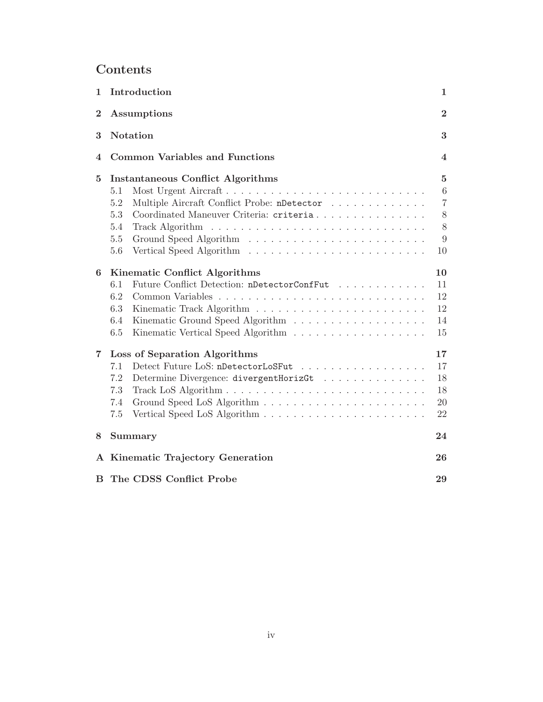## Contents

| $\mathbf{1}$            | Introduction                                       | $\mathbf{1}$    |
|-------------------------|----------------------------------------------------|-----------------|
| $\overline{2}$          | Assumptions                                        | $\overline{2}$  |
| 3                       | <b>Notation</b>                                    | 3               |
| 4                       | <b>Common Variables and Functions</b>              | 4               |
| $\bf{5}$                | <b>Instantaneous Conflict Algorithms</b>           | $\bf{5}$        |
|                         | Most Urgent Aircraft<br>5.1                        | $6\phantom{.}6$ |
|                         | Multiple Aircraft Conflict Probe: nDetector<br>5.2 | $\overline{7}$  |
|                         | Coordinated Maneuver Criteria: criteria<br>5.3     | 8               |
|                         | 5.4                                                | 8               |
|                         | 5.5                                                | 9               |
|                         | 5.6                                                | 10              |
| 6                       | Kinematic Conflict Algorithms                      | 10              |
|                         | Future Conflict Detection: nDetectorConfFut<br>6.1 | 11              |
|                         | 6.2                                                | 12              |
|                         | 6.3                                                | 12              |
|                         | 6.4                                                | 14              |
|                         | 6.5                                                | 15              |
| $\overline{\mathbf{7}}$ | Loss of Separation Algorithms                      | 17              |
|                         | Detect Future LoS: nDetectorLoSFut<br>7.1          | 17              |
|                         | 7.2<br>Determine Divergence: divergentHorizGt      | 18              |
|                         | 7.3                                                | 18              |
|                         | 7.4                                                | 20              |
|                         | 7.5                                                | 22              |
| 8                       | Summary                                            | 24              |
|                         | A Kinematic Trajectory Generation                  | 26              |
| В                       | The CDSS Conflict Probe                            | 29              |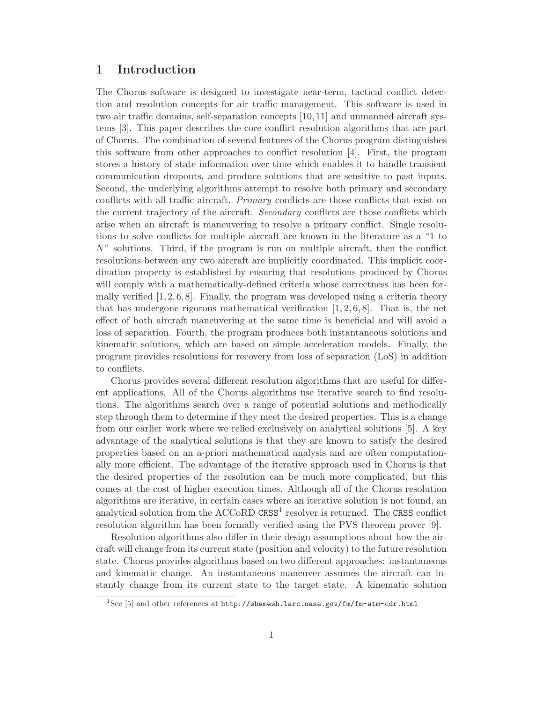## 1 Introduction

The Chorus software is designed to investigate near-term, tactical conflict detection and resolution concepts for air traffic management. This software is used in two air traffic domains, self-separation concepts [10, 11] and unmanned aircraft systems [3]. This paper describes the core conflict resolution algorithms that are part of Chorus. The combination of several features of the Chorus program distinguishes this software from other approaches to conflict resolution [4]. First, the program stores a history of state information over time which enables it to handle transient communication dropouts, and produce solutions that are sensitive to past inputs. Second, the underlying algorithms attempt to resolve both primary and secondary conflicts with all traffic aircraft. *Primary* conflicts are those conflicts that exist on the current trajectory of the aircraft. *Secondary* conflicts are those conflicts which arise when an aircraft is maneuvering to resolve a primary conflict. Single resolutions to solve conflicts for multiple aircraft are known in the literature as a "1 to N" solutions. Third, if the program is run on multiple aircraft, then the conflict resolutions between any two aircraft are implicitly coordinated. This implicit coordination property is established by ensuring that resolutions produced by Chorus will comply with a mathematically-defined criteria whose correctness has been formally verified  $[1, 2, 6, 8]$ . Finally, the program was developed using a criteria theory that has undergone rigorous mathematical verification  $[1, 2, 6, 8]$ . That is, the net effect of both aircraft maneuvering at the same time is beneficial and will avoid a loss of separation. Fourth, the program produces both instantaneous solutions and kinematic solutions, which are based on simple acceleration models. Finally, the program provides resolutions for recovery from loss of separation (LoS) in addition to conflicts.

Chorus provides several different resolution algorithms that are useful for different applications. All of the Chorus algorithms use iterative search to find resolutions. The algorithms search over a range of potential solutions and methodically step through them to determine if they meet the desired properties. This is a change from our earlier work where we relied exclusively on analytical solutions [5]. A key advantage of the analytical solutions is that they are known to satisfy the desired properties based on an a-priori mathematical analysis and are often computationally more efficient. The advantage of the iterative approach used in Chorus is that the desired properties of the resolution can be much more complicated, but this comes at the cost of higher execution times. Although all of the Chorus resolution algorithms are iterative, in certain cases where an iterative solution is not found, an analytical solution from the ACCoRD  $CRSS<sup>1</sup>$  resolver is returned. The CRSS conflict resolution algorithm has been formally verified using the PVS theorem prover [9].

Resolution algorithms also differ in their design assumptions about how the aircraft will change from its current state (position and velocity) to the future resolution state. Chorus provides algorithms based on two different approaches: instantaneous and kinematic change. An instantaneous maneuver assumes the aircraft can instantly change from its current state to the target state. A kinematic solution

<sup>&</sup>lt;sup>1</sup>See [5] and other references at  $http://shemesh.larc.nasa.gov/fm/fm-atm-cdr.html$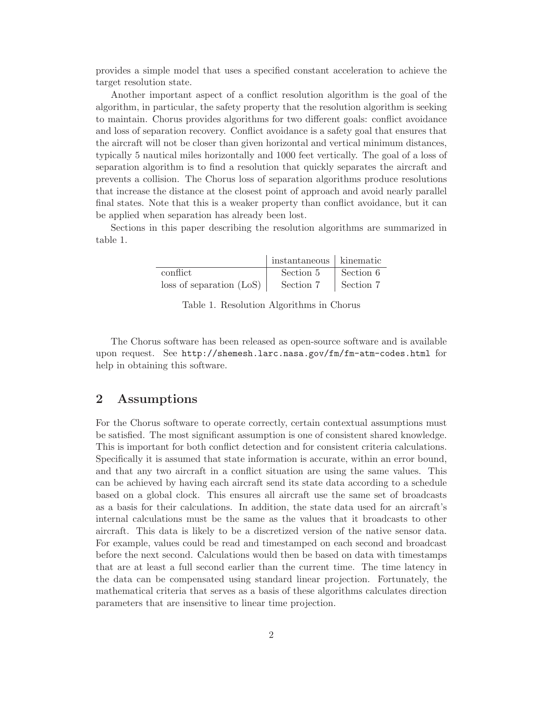provides a simple model that uses a specified constant acceleration to achieve the target resolution state.

Another important aspect of a conflict resolution algorithm is the goal of the algorithm, in particular, the safety property that the resolution algorithm is seeking to maintain. Chorus provides algorithms for two different goals: conflict avoidance and loss of separation recovery. Conflict avoidance is a safety goal that ensures that the aircraft will not be closer than given horizontal and vertical minimum distances, typically 5 nautical miles horizontally and 1000 feet vertically. The goal of a loss of separation algorithm is to find a resolution that quickly separates the aircraft and prevents a collision. The Chorus loss of separation algorithms produce resolutions that increase the distance at the closest point of approach and avoid nearly parallel final states. Note that this is a weaker property than conflict avoidance, but it can be applied when separation has already been lost.

Sections in this paper describing the resolution algorithms are summarized in table 1.

|                          | instantaneous kinematic |           |
|--------------------------|-------------------------|-----------|
| conflict.                | Section 5               | Section 6 |
| loss of separation (LoS) | Section 7               | Section 7 |

Table 1. Resolution Algorithms in Chorus

The Chorus software has been released as open-source software and is available upon request. See http://shemesh.larc.nasa.gov/fm/fm-atm-codes.html for help in obtaining this software.

## 2 Assumptions

For the Chorus software to operate correctly, certain contextual assumptions must be satisfied. The most significant assumption is one of consistent shared knowledge. This is important for both conflict detection and for consistent criteria calculations. Specifically it is assumed that state information is accurate, within an error bound, and that any two aircraft in a conflict situation are using the same values. This can be achieved by having each aircraft send its state data according to a schedule based on a global clock. This ensures all aircraft use the same set of broadcasts as a basis for their calculations. In addition, the state data used for an aircraft's internal calculations must be the same as the values that it broadcasts to other aircraft. This data is likely to be a discretized version of the native sensor data. For example, values could be read and timestamped on each second and broadcast before the next second. Calculations would then be based on data with timestamps that are at least a full second earlier than the current time. The time latency in the data can be compensated using standard linear projection. Fortunately, the mathematical criteria that serves as a basis of these algorithms calculates direction parameters that are insensitive to linear time projection.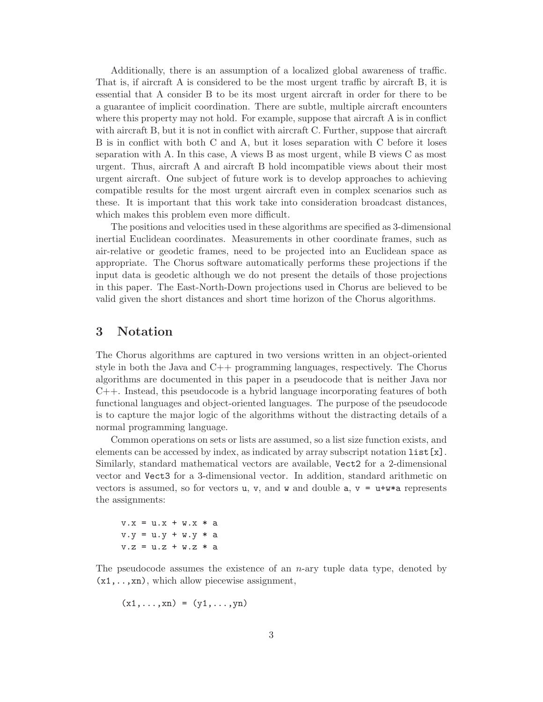Additionally, there is an assumption of a localized global awareness of traffic. That is, if aircraft A is considered to be the most urgent traffic by aircraft B, it is essential that A consider B to be its most urgent aircraft in order for there to be a guarantee of implicit coordination. There are subtle, multiple aircraft encounters where this property may not hold. For example, suppose that aircraft A is in conflict with aircraft B, but it is not in conflict with aircraft C. Further, suppose that aircraft B is in conflict with both C and A, but it loses separation with C before it loses separation with A. In this case, A views B as most urgent, while B views C as most urgent. Thus, aircraft A and aircraft B hold incompatible views about their most urgent aircraft. One subject of future work is to develop approaches to achieving compatible results for the most urgent aircraft even in complex scenarios such as these. It is important that this work take into consideration broadcast distances, which makes this problem even more difficult.

The positions and velocities used in these algorithms are specified as 3-dimensional inertial Euclidean coordinates. Measurements in other coordinate frames, such as air-relative or geodetic frames, need to be projected into an Euclidean space as appropriate. The Chorus software automatically performs these projections if the input data is geodetic although we do not present the details of those projections in this paper. The East-North-Down projections used in Chorus are believed to be valid given the short distances and short time horizon of the Chorus algorithms.

### 3 Notation

The Chorus algorithms are captured in two versions written in an object-oriented style in both the Java and C++ programming languages, respectively. The Chorus algorithms are documented in this paper in a pseudocode that is neither Java nor C++. Instead, this pseudocode is a hybrid language incorporating features of both functional languages and object-oriented languages. The purpose of the pseudocode is to capture the major logic of the algorithms without the distracting details of a normal programming language.

Common operations on sets or lists are assumed, so a list size function exists, and elements can be accessed by index, as indicated by array subscript notation  $list[x]$ . Similarly, standard mathematical vectors are available, Vect2 for a 2-dimensional vector and Vect3 for a 3-dimensional vector. In addition, standard arithmetic on vectors is assumed, so for vectors u, v, and w and double  $a, v = u + w * a$  represents the assignments:

 $v.x = u.x + w.x * a$  $v. y = u. y + w. y * a$  $v.z = u.z + w.z * a$ 

The pseudocode assumes the existence of an  $n$ -ary tuple data type, denoted by  $(x1,...,xn)$ , which allow piecewise assignment,

$$
(x1,\ldots,xn) = (y1,\ldots,yn)
$$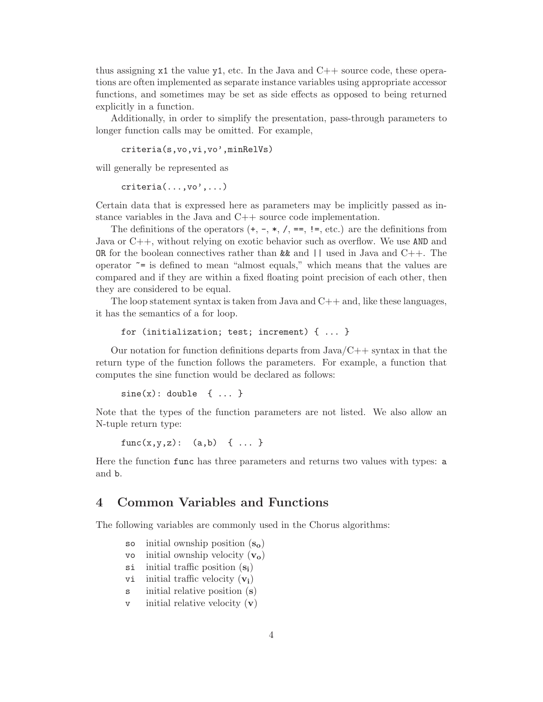thus assigning  $x1$  the value  $y1$ , etc. In the Java and  $C++$  source code, these operations are often implemented as separate instance variables using appropriate accessor functions, and sometimes may be set as side effects as opposed to being returned explicitly in a function.

Additionally, in order to simplify the presentation, pass-through parameters to longer function calls may be omitted. For example,

```
criteria(s,vo,vi,vo',minRelVs)
```
will generally be represented as

criteria(...,vo',...)

Certain data that is expressed here as parameters may be implicitly passed as instance variables in the Java and C++ source code implementation.

The definitions of the operators  $(+, -, *, /, ==, !=, etc.)$  are the definitions from Java or C++, without relying on exotic behavior such as overflow. We use AND and OR for the boolean connectives rather than  $\&$  and  $||$  used in Java and  $C++$ . The operator  $\tilde{\phantom{a}}$  = is defined to mean "almost equals," which means that the values are compared and if they are within a fixed floating point precision of each other, then they are considered to be equal.

The loop statement syntax is taken from Java and  $C++$  and, like these languages, it has the semantics of a for loop.

```
for (initialization; test; increment) { ... }
```
Our notation for function definitions departs from  $Java/C++$  syntax in that the return type of the function follows the parameters. For example, a function that computes the sine function would be declared as follows:

```
sine(x): double \{ ... \}
```
Note that the types of the function parameters are not listed. We also allow an N-tuple return type:

 $func(x,y,z): (a,b) \{ ... \}$ 

Here the function func has three parameters and returns two values with types: a and b.

#### 4 Common Variables and Functions

The following variables are commonly used in the Chorus algorithms:

- so initial ownship position  $(s_0)$
- vo initial ownship velocity  $(v_0)$
- $s$ i initial traffic position  $(s_i)$
- vi initial traffic velocity  $(v_i)$
- s initial relative position (s)
- $\mathbf v$  initial relative velocity  $(\mathbf v)$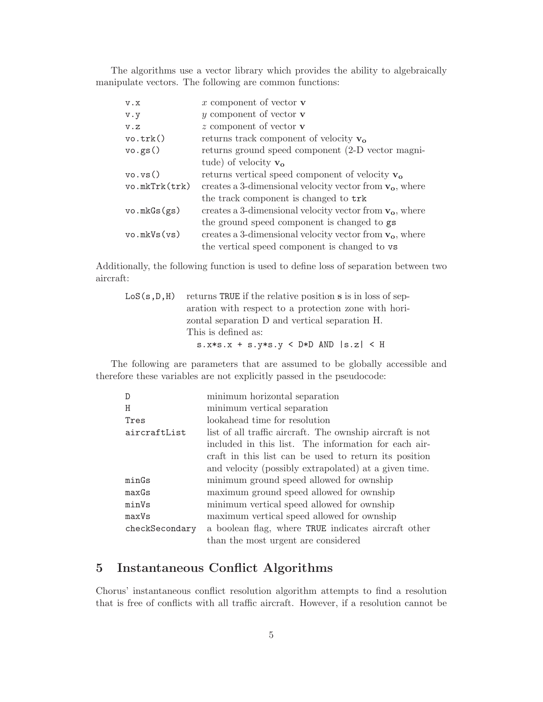The algorithms use a vector library which provides the ability to algebraically manipulate vectors. The following are common functions:

| $X \cdot V$   | x component of vector $\bf{v}$                             |
|---------------|------------------------------------------------------------|
| $V \cdot V$   | y component of vector $\bf{v}$                             |
| V.Z           | $z$ component of vector $\bf{v}$                           |
| vo.trk()      | returns track component of velocity $v_0$                  |
| vo.gs()       | returns ground speed component (2-D vector magni-          |
|               | tude) of velocity $\mathbf{v}_{o}$                         |
| vo, vs()      | returns vertical speed component of velocity $v_0$         |
| vo.mkTrk(trk) | creates a 3-dimensional velocity vector from $v_0$ , where |
|               | the track component is changed to trk                      |
| vo.mkGs(gs)   | creates a 3-dimensional velocity vector from $v_0$ , where |
|               | the ground speed component is changed to gs                |
| vo.mkVs(vs)   | creates a 3-dimensional velocity vector from $v_0$ , where |
|               | the vertical speed component is changed to vs              |

Additionally, the following function is used to define loss of separation between two aircraft:

| $LoS(s, D, H)$ returns TRUE if the relative position s is in loss of sep- |
|---------------------------------------------------------------------------|
| aration with respect to a protection zone with hori-                      |
| zontal separation D and vertical separation H.                            |
| This is defined as:                                                       |
| $s.x*s.x + s.y*s.y < D*D AND  s.z  < H$                                   |

The following are parameters that are assumed to be globally accessible and therefore these variables are not explicitly passed in the pseudocode:

| D              | minimum horizontal separation                             |
|----------------|-----------------------------------------------------------|
| н              | minimum vertical separation                               |
| Tres           | lookahead time for resolution                             |
| aircraftList   | list of all traffic aircraft. The ownship aircraft is not |
|                | included in this list. The information for each air-      |
|                | craft in this list can be used to return its position     |
|                | and velocity (possibly extrapolated) at a given time.     |
| minGs          | minimum ground speed allowed for ownship                  |
| maxGs          | maximum ground speed allowed for ownship                  |
| minVs          | minimum vertical speed allowed for ownship                |
| maxVs          | maximum vertical speed allowed for ownship                |
| checkSecondary | a boolean flag, where TRUE indicates aircraft other       |
|                | than the most urgent are considered                       |

## 5 Instantaneous Conflict Algorithms

Chorus' instantaneous conflict resolution algorithm attempts to find a resolution that is free of conflicts with all traffic aircraft. However, if a resolution cannot be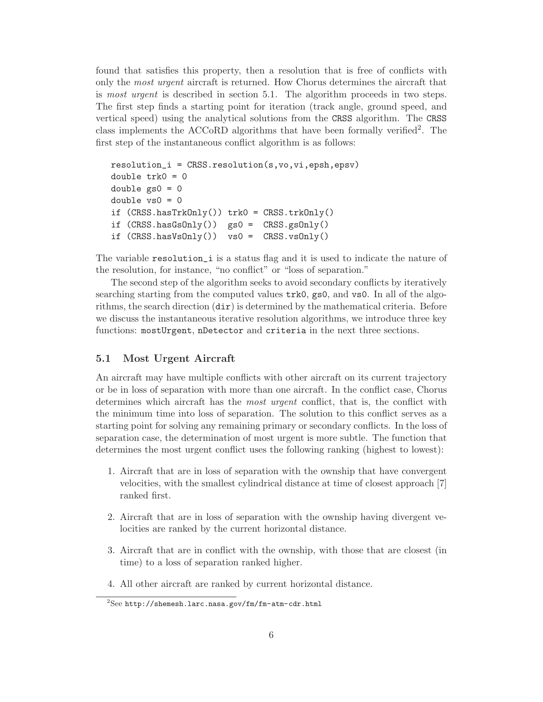found that satisfies this property, then a resolution that is free of conflicts with only the most urgent aircraft is returned. How Chorus determines the aircraft that is most urgent is described in section 5.1. The algorithm proceeds in two steps. The first step finds a starting point for iteration (track angle, ground speed, and vertical speed) using the analytical solutions from the CRSS algorithm. The CRSS class implements the ACCoRD algorithms that have been formally verified2. The first step of the instantaneous conflict algorithm is as follows:

```
resolution_i = CRSS.resolution(s,vo,vi,epsh,epsv)
double trk0 = 0double gs0 = 0double vs0 = 0if (CRSS.hasTrkOnly() trk0 = CRSS.trkOnly()if (CRSS.hasGsOnly() gs0 = CRSS.gsOnly()if (CRSS.hasVsOnly() vs0 = CRSS.vsOnly()
```
The variable resolution\_i is a status flag and it is used to indicate the nature of the resolution, for instance, "no conflict" or "loss of separation."

The second step of the algorithm seeks to avoid secondary conflicts by iteratively searching starting from the computed values trk0, gs0, and vs0. In all of the algorithms, the search direction  $(\text{dir})$  is determined by the mathematical criteria. Before we discuss the instantaneous iterative resolution algorithms, we introduce three key functions: mostUrgent, nDetector and criteria in the next three sections.

#### 5.1 Most Urgent Aircraft

An aircraft may have multiple conflicts with other aircraft on its current trajectory or be in loss of separation with more than one aircraft. In the conflict case, Chorus determines which aircraft has the most urgent conflict, that is, the conflict with the minimum time into loss of separation. The solution to this conflict serves as a starting point for solving any remaining primary or secondary conflicts. In the loss of separation case, the determination of most urgent is more subtle. The function that determines the most urgent conflict uses the following ranking (highest to lowest):

- 1. Aircraft that are in loss of separation with the ownship that have convergent velocities, with the smallest cylindrical distance at time of closest approach [7] ranked first.
- 2. Aircraft that are in loss of separation with the ownship having divergent velocities are ranked by the current horizontal distance.
- 3. Aircraft that are in conflict with the ownship, with those that are closest (in time) to a loss of separation ranked higher.
- 4. All other aircraft are ranked by current horizontal distance.

 $^{2}$ See http://shemesh.larc.nasa.gov/fm/fm-atm-cdr.html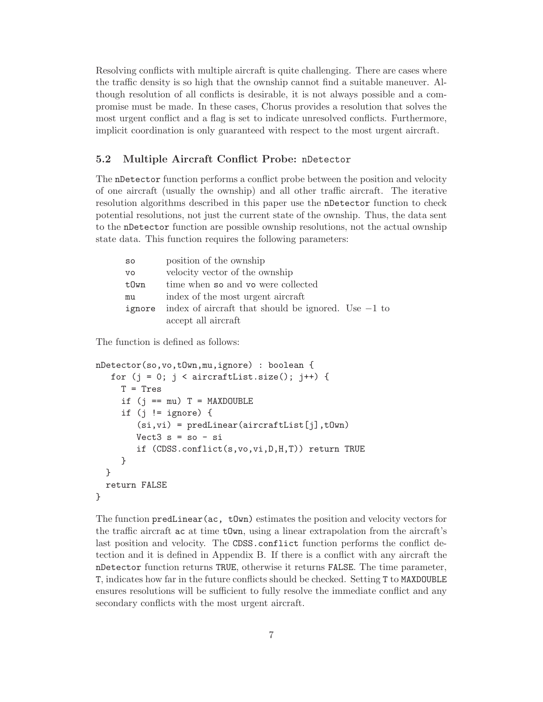Resolving conflicts with multiple aircraft is quite challenging. There are cases where the traffic density is so high that the ownship cannot find a suitable maneuver. Although resolution of all conflicts is desirable, it is not always possible and a compromise must be made. In these cases, Chorus provides a resolution that solves the most urgent conflict and a flag is set to indicate unresolved conflicts. Furthermore, implicit coordination is only guaranteed with respect to the most urgent aircraft.

#### 5.2 Multiple Aircraft Conflict Probe: nDetector

The nDetector function performs a conflict probe between the position and velocity of one aircraft (usually the ownship) and all other traffic aircraft. The iterative resolution algorithms described in this paper use the nDetector function to check potential resolutions, not just the current state of the ownship. Thus, the data sent to the nDetector function are possible ownship resolutions, not the actual ownship state data. This function requires the following parameters:

| SO        | position of the ownship                               |
|-----------|-------------------------------------------------------|
| <b>VO</b> | velocity vector of the ownship                        |
| tOwn      | time when so and vo were collected                    |
| mu        | index of the most urgent aircraft                     |
| ignore    | index of aircraft that should be ignored. Use $-1$ to |
|           | accept all aircraft                                   |

The function is defined as follows:

```
nDetector(so,vo,tOwn,mu,ignore) : boolean {
   for (j = 0; j < aircraftList.size(); j++) {
     T = Tresif (j == mu) T = MAXDOUBLE
     if (j != ignore) {
        (s_i, vi) = predLinear(aircraftList[j],tOwn)
        Vect3 s = so - siif (CDSS.conflict(s,vo,vi,D,H,T)) return TRUE
     }
  }
  return FALSE
}
```
The function predLinear(ac,  $tQw$ ) estimates the position and velocity vectors for the traffic aircraft ac at time tOwn, using a linear extrapolation from the aircraft's last position and velocity. The CDSS.conflict function performs the conflict detection and it is defined in Appendix B. If there is a conflict with any aircraft the nDetector function returns TRUE, otherwise it returns FALSE. The time parameter, T, indicates how far in the future conflicts should be checked. Setting T to MAXDOUBLE ensures resolutions will be sufficient to fully resolve the immediate conflict and any secondary conflicts with the most urgent aircraft.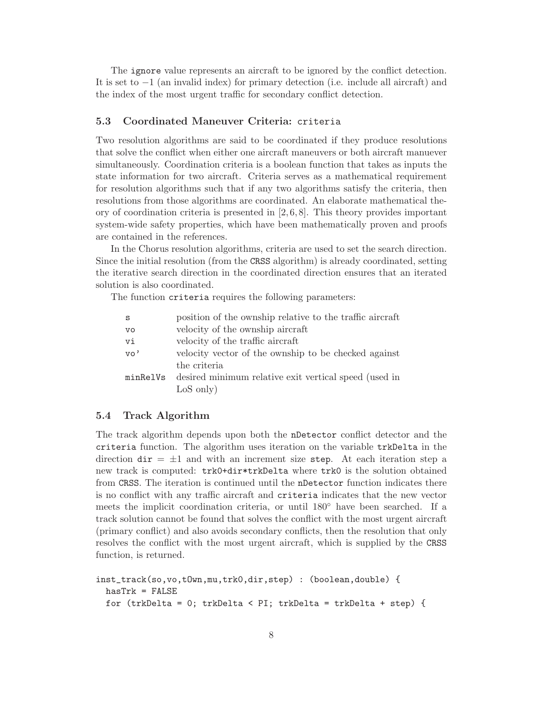The ignore value represents an aircraft to be ignored by the conflict detection. It is set to −1 (an invalid index) for primary detection (i.e. include all aircraft) and the index of the most urgent traffic for secondary conflict detection.

#### 5.3 Coordinated Maneuver Criteria: criteria

Two resolution algorithms are said to be coordinated if they produce resolutions that solve the conflict when either one aircraft maneuvers or both aircraft manuever simultaneously. Coordination criteria is a boolean function that takes as inputs the state information for two aircraft. Criteria serves as a mathematical requirement for resolution algorithms such that if any two algorithms satisfy the criteria, then resolutions from those algorithms are coordinated. An elaborate mathematical theory of coordination criteria is presented in  $[2, 6, 8]$ . This theory provides important system-wide safety properties, which have been mathematically proven and proofs are contained in the references.

In the Chorus resolution algorithms, criteria are used to set the search direction. Since the initial resolution (from the CRSS algorithm) is already coordinated, setting the iterative search direction in the coordinated direction ensures that an iterated solution is also coordinated.

The function criteria requires the following parameters:

| S         | position of the ownship relative to the traffic aircraft |
|-----------|----------------------------------------------------------|
| <b>VO</b> | velocity of the ownship aircraft                         |
| vi        | velocity of the traffic aircraft                         |
| vo'       | velocity vector of the ownship to be checked against     |
|           | the criteria                                             |
| minRelVs  | desired minimum relative exit vertical speed (used in    |
|           | $LoS$ only)                                              |
|           |                                                          |

#### 5.4 Track Algorithm

The track algorithm depends upon both the nDetector conflict detector and the criteria function. The algorithm uses iteration on the variable trkDelta in the direction  $\text{dir} = \pm 1$  and with an increment size step. At each iteration step a new track is computed: trk0+dir\*trkDelta where trk0 is the solution obtained from CRSS. The iteration is continued until the nDetector function indicates there is no conflict with any traffic aircraft and criteria indicates that the new vector meets the implicit coordination criteria, or until 180◦ have been searched. If a track solution cannot be found that solves the conflict with the most urgent aircraft (primary conflict) and also avoids secondary conflicts, then the resolution that only resolves the conflict with the most urgent aircraft, which is supplied by the CRSS function, is returned.

```
inst_track(so,vo,tOwn,mu,trk0,dir,step) : (boolean,double) {
 hasTrk = FALSEfor (trkDelta = 0; trkDelta < PI; trkDelta = trkDelta + step) {
```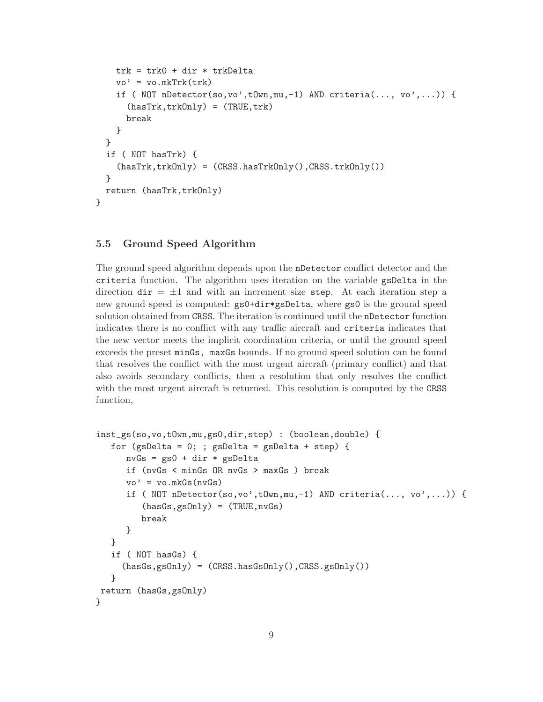```
trk = trk0 + dir * trkDelta
    vo' = vo.mkTrk(trk)if ( NOT nDetector(so, vo', tOwn, mu, -1) AND criteria(..., vo',...)) {
      (hasTrk,trkOnly) = (TRUE,trk)
      break
    }
  }
  if ( NOT hasTrk) {
    (hasTrk,trkOnly) = (CRSS.hasTrkOnly(),CRSS,trkOnly())}
  return (hasTrk,trkOnly)
}
```
#### 5.5 Ground Speed Algorithm

The ground speed algorithm depends upon the nDetector conflict detector and the criteria function. The algorithm uses iteration on the variable gsDelta in the direction  $\text{dir} = \pm 1$  and with an increment size step. At each iteration step a new ground speed is computed: gs0+dir\*gsDelta, where gs0 is the ground speed solution obtained from CRSS. The iteration is continued until the nDetector function indicates there is no conflict with any traffic aircraft and criteria indicates that the new vector meets the implicit coordination criteria, or until the ground speed exceeds the preset minGs, maxGs bounds. If no ground speed solution can be found that resolves the conflict with the most urgent aircraft (primary conflict) and that also avoids secondary conflicts, then a resolution that only resolves the conflict with the most urgent aircraft is returned. This resolution is computed by the CRSS function,

```
inst_gs(so,vo,tOwn,mu,gs0,dir,step) : (boolean,double) {
   for (gsDelta = 0;; gsDelta = gsDelta + step) {
      nvGs = gs0 + dir * gslbeltaif (nvGs < minGs OR nvGs > maxGs ) break
      vo' = vo.mkGs(nvGs)if ( NOT nDetector(so,vo',tOwn,mu,-1) AND criteria(..., vo',...)) {
         (hasGs,gsOnly) = (TRUE, nvGs)break
      }
   }
   if ( NOT hasGs) {
     (hasGs,gsOnly) = (CRSS.hasGsOnly(),CRSS.gsOnly())
   }
return (hasGs,gsOnly)
}
```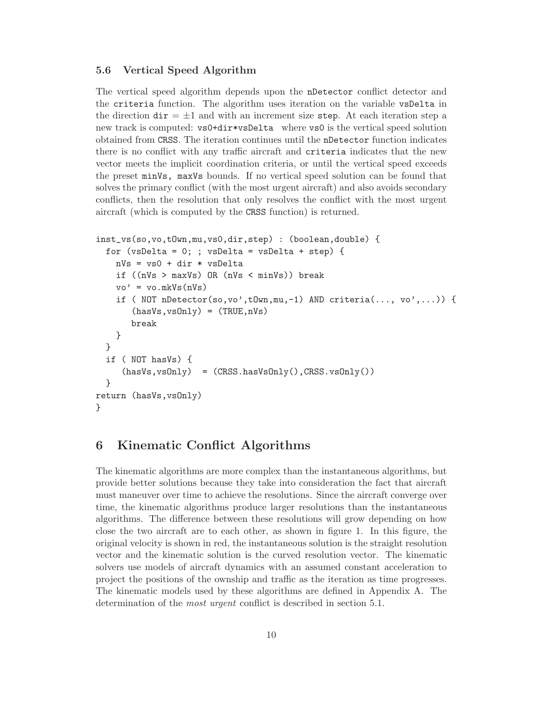#### 5.6 Vertical Speed Algorithm

The vertical speed algorithm depends upon the nDetector conflict detector and the criteria function. The algorithm uses iteration on the variable vsDelta in the direction  $\text{dir} = \pm 1$  and with an increment size step. At each iteration step a new track is computed: vs0+dir\*vsDelta where vs0 is the vertical speed solution obtained from CRSS. The iteration continues until the nDetector function indicates there is no conflict with any traffic aircraft and criteria indicates that the new vector meets the implicit coordination criteria, or until the vertical speed exceeds the preset minVs, maxVs bounds. If no vertical speed solution can be found that solves the primary conflict (with the most urgent aircraft) and also avoids secondary conflicts, then the resolution that only resolves the conflict with the most urgent aircraft (which is computed by the CRSS function) is returned.

```
inst_vs(so,vo,tOwn,mu,vs0,dir,step) : (boolean,double) {
  for (vsDelta = 0; ; vsDelta = vsDelta + step) {
    nVs = vs0 + dir * vsDelta
    if ((nVs > maxVs) OR (nVs < minVs)) break
    vo' = vo.mkVs(nVs)if ( NOT nDetector(so,vo',tOwn,mu,-1) AND criteria(..., vo',...)) {
       (hasVs, vsOnly) = (TRUE, nVs)break
    }
  }
  if ( NOT hasVs) {
     (hasVs, vsOnly) = (CRSS, hasVsOnly(), CRSS, vsOnly())}
return (hasVs,vsOnly)
}
```
## 6 Kinematic Conflict Algorithms

The kinematic algorithms are more complex than the instantaneous algorithms, but provide better solutions because they take into consideration the fact that aircraft must maneuver over time to achieve the resolutions. Since the aircraft converge over time, the kinematic algorithms produce larger resolutions than the instantaneous algorithms. The difference between these resolutions will grow depending on how close the two aircraft are to each other, as shown in figure 1. In this figure, the original velocity is shown in red, the instantaneous solution is the straight resolution vector and the kinematic solution is the curved resolution vector. The kinematic solvers use models of aircraft dynamics with an assumed constant acceleration to project the positions of the ownship and traffic as the iteration as time progresses. The kinematic models used by these algorithms are defined in Appendix A. The determination of the *most urgent* conflict is described in section 5.1.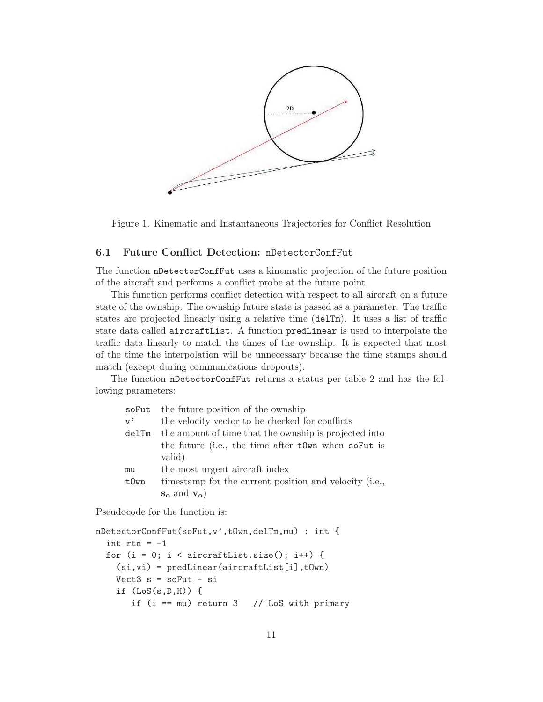

Figure 1. Kinematic and Instantaneous Trajectories for Conflict Resolution

#### 6.1 Future Conflict Detection: nDetectorConfFut

The function nDetectorConfFut uses a kinematic projection of the future position of the aircraft and performs a conflict probe at the future point.

This function performs conflict detection with respect to all aircraft on a future state of the ownship. The ownship future state is passed as a parameter. The traffic states are projected linearly using a relative time (delTm). It uses a list of traffic state data called aircraftList. A function predLinear is used to interpolate the traffic data linearly to match the times of the ownship. It is expected that most of the time the interpolation will be unnecessary because the time stamps should match (except during communications dropouts).

The function nDetectorConfFut returns a status per table 2 and has the following parameters:

| soFut | the future position of the ownship                     |
|-------|--------------------------------------------------------|
| v,    | the velocity vector to be checked for conflicts        |
| delTm | the amount of time that the ownship is projected into  |
|       | the future (i.e., the time after town when so Fut is   |
|       | valid)                                                 |
| mu    | the most urgent aircraft index                         |
| t0wn  | timestamp for the current position and velocity (i.e., |
|       | $s_o$ and $v_o$ )                                      |

Pseudocode for the function is:

```
nDetectorConfFut(soFut,v',tOwn,delTm,mu) : int {
  int rtn = -1for (i = 0; i < aircraftList.size(); i++) {
    (si, vi) = predLinear(aircraftList[i],tOwn)
   Vect3 s = soFut - siif (LoS(s,D,H)) {
       if (i == mu) return 3 // LoS with primary
```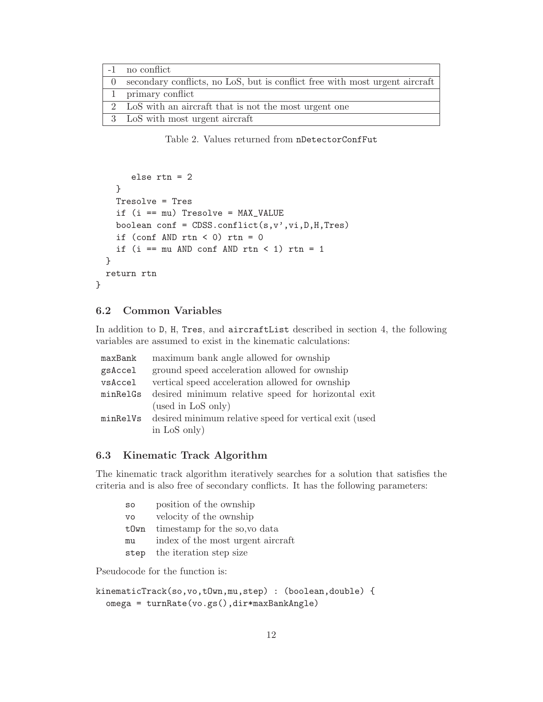| -1 no conflict                                                                |
|-------------------------------------------------------------------------------|
| 0 secondary conflicts, no LoS, but is conflict free with most urgent aircraft |
| 1 primary conflict                                                            |
| 2 LoS with an aircraft that is not the most urgent one                        |
| 3 LoS with most urgent aircraft                                               |

Table 2. Values returned from nDetectorConfFut

```
else rtn = 2
   }
   Tresolve = Tres
   if (i == mu) Tresolve = MAX_VALUE
   boolean conf = CDSS.config(t,s,v',vi,D,H,Tres)if (conf AND rtn < 0) rtn = 0if (i == mu AND conf AND rtn < 1) rtn = 1
 }
 return rtn
}
```
#### 6.2 Common Variables

In addition to D, H, Tres, and aircraftList described in section 4, the following variables are assumed to exist in the kinematic calculations:

| maxBank  | maximum bank angle allowed for ownship                          |
|----------|-----------------------------------------------------------------|
| gsAccel  | ground speed acceleration allowed for ownship                   |
| vsAccel  | vertical speed acceleration allowed for ownship                 |
| minRelGs | desired minimum relative speed for horizontal exit              |
|          | (used in LoS only)                                              |
|          | minRelVs desired minimum relative speed for vertical exit (used |
|          | in LoS only)                                                    |
|          |                                                                 |

#### 6.3 Kinematic Track Algorithm

The kinematic track algorithm iteratively searches for a solution that satisfies the criteria and is also free of secondary conflicts. It has the following parameters:

| SO        | position of the ownship           |
|-----------|-----------------------------------|
| <b>VO</b> | velocity of the ownship           |
| t0wn      | timestamp for the so, vo data     |
| mu        | index of the most urgent aircraft |
| step      | the iteration step size           |

Pseudocode for the function is:

```
kinematicTrack(so,vo,tOwn,mu,step) : (boolean,double) {
  omega = turnRate(vo.gs(),dir*maxBankAngle)
```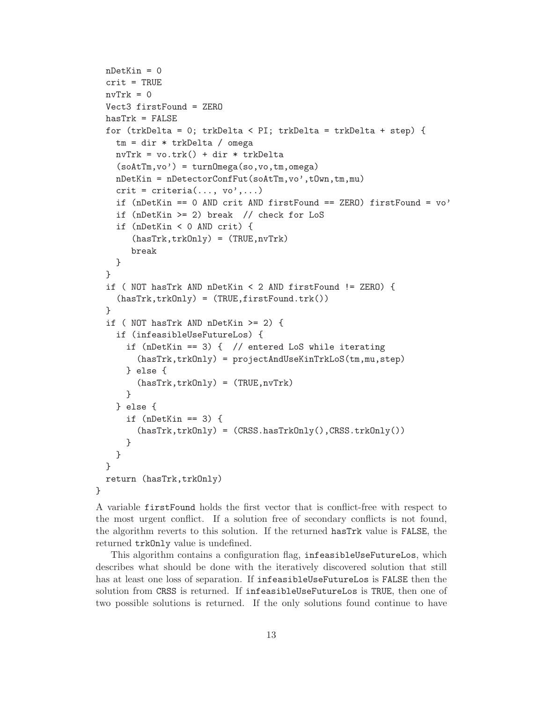```
nDetKin = 0
 crit = TRUE
 nvTrk = 0Vect3 firstFound = ZERO
 hasTrk = FALSEfor (trkDelta = 0; trkDelta < PI; trkDelta = trkDelta + step) {
   tm = dir * trkDelta / omega
   nvTrk = vo.trk() + dir * trkDelta
    (soAtTm,vo') = turnOmega(so,vo,tm,omega)nDetKin = nDetectorConfFut(soAtTm,vo',tOwn,tm,mu)
    crit = criteria(..., vo',...)if (nDetKin == 0 AND crit AND firstFound == ZERO) firstFound = vo'if (nDetKin >= 2) break // check for LoS
    if (nDetKin < 0 AND crit) {
       (hasTrk,trkOnly) = (TRUE,nvTrk)
      break
   }
 }
 if ( NOT hasTrk AND nDetKin < 2 AND firstFound != ZERO) {
    (hasTrk,trkOnly) = (TRUE,firstFound.trk())
 }
 if ( NOT hasTrk AND nDetKin >= 2) {
    if (infeasibleUseFutureLos) {
      if (nDetKin == 3) { // entered LoS while iterating
        (hasTrk,trkOnly) = projectAndUseKinTrkLoS(tm,mu,step)
     } else {
        (hasTrk, trkOnly) = (TRUE, nvTrk)}
    } else {
     if (nDetKin == 3) {
        (hasTrk,trkOnly) = (CRSS.hasTrkOnly(),CRSS.trkOnly())
      }
   }
 }
 return (hasTrk,trkOnly)
}
```
A variable firstFound holds the first vector that is conflict-free with respect to the most urgent conflict. If a solution free of secondary conflicts is not found, the algorithm reverts to this solution. If the returned hasTrk value is FALSE, the returned trkOnly value is undefined.

This algorithm contains a configuration flag, infeasibleUseFutureLos, which describes what should be done with the iteratively discovered solution that still has at least one loss of separation. If infeasibleUseFutureLos is FALSE then the solution from CRSS is returned. If infeasibleUseFutureLos is TRUE, then one of two possible solutions is returned. If the only solutions found continue to have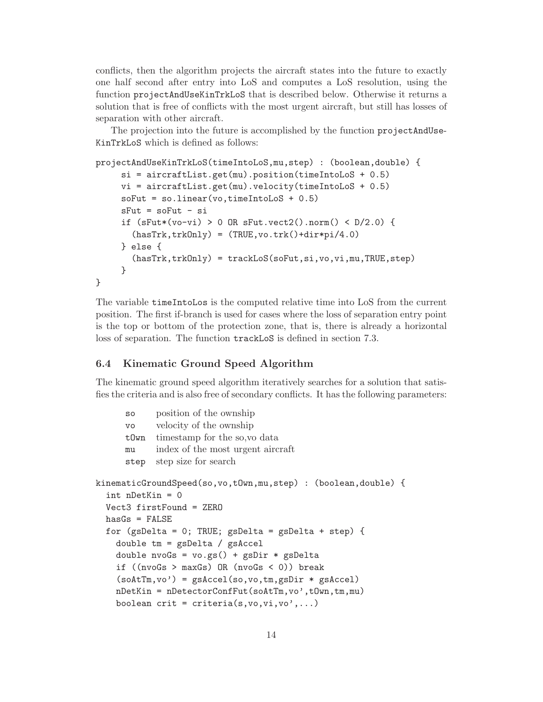conflicts, then the algorithm projects the aircraft states into the future to exactly one half second after entry into LoS and computes a LoS resolution, using the function projectAndUseKinTrkLoS that is described below. Otherwise it returns a solution that is free of conflicts with the most urgent aircraft, but still has losses of separation with other aircraft.

The projection into the future is accomplished by the function projectAndUse-KinTrkLoS which is defined as follows:

```
projectAndUseKinTrkLoS(timeIntoLoS,mu,step) : (boolean,double) {
     si = aircraftList.get(mu).position(timeIntoLoS + 0.5)
    vi = aircraftList.get(mu).velocity(timeIntoLoS + 0.5)softmax = sou = os + 0.5sFut = soFut - siif (sFut*(vo-vi) > 0 OR sFut.vect2() .norm() < D/2.0) {
       (hasTrk, trkOnly) = (TRUE, vo. trk() + dir * pi/4.0)} else {
       (hasTrk,trkOnly) = trackLoS(soFut,si,vo,vi,mu,TRUE,step)
    }
}
```
The variable timeIntoLos is the computed relative time into LoS from the current position. The first if-branch is used for cases where the loss of separation entry point is the top or bottom of the protection zone, that is, there is already a horizontal loss of separation. The function trackLoS is defined in section 7.3.

#### 6.4 Kinematic Ground Speed Algorithm

The kinematic ground speed algorithm iteratively searches for a solution that satisfies the criteria and is also free of secondary conflicts. It has the following parameters:

```
so position of the ownship
      vo velocity of the ownship
      tOwn timestamp for the so,vo data
      mu index of the most urgent aircraft
      step step size for search
kinematicGroundSpeed(so,vo,tOwn,mu,step) : (boolean,double) {
  int nDetKin = 0
  Vect3 firstFound = ZERO
  hasGs = FALSEfor (gsDelta = 0; TRUE; gsDelta = gsDelta + step) {
    double tm = gsDelta / gsAccel
    double nvoGs = vo(gs() + gsDir * gspeltaif ((\text{nvoGs} > \text{maxGs}) \text{ OR } (\text{nvoGs} < 0)) break
    (soAtTm,vo') = gSAccel(so,vo,tm,gsDir * gSAccel)nDetKin = nDetectorConfFut(soAtTm,vo',tOwn,tm,mu)
    boolean crit = criteria(s, v_0, v_1, v_0', \dots)
```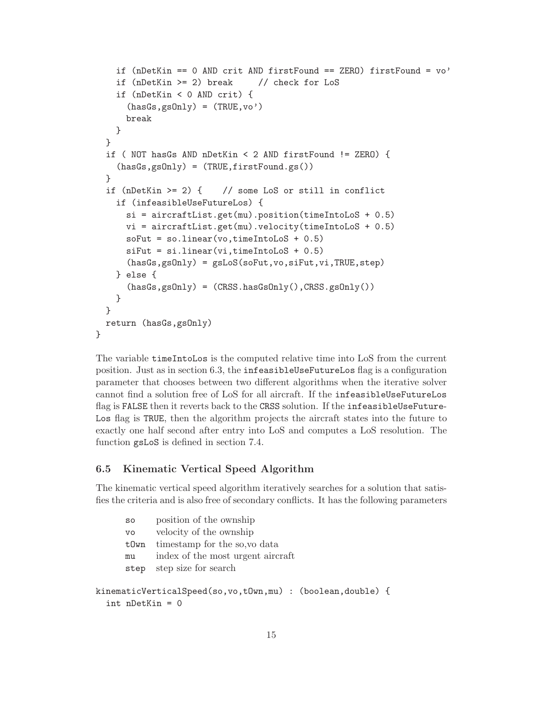```
if (nDetKin == 0 AND crit AND firstFound == ZERO) firstFound = vo'
    if (nDetKin >= 2) break // check for LoS
    if (nDetKin < 0 AND crit) {
      (hasGs,gsOnly) = (TRUE,vo')break
    }
  }
  if ( NOT hasGs AND nDetKin < 2 AND firstFound != ZERO) {
    (hasGs,gsOnly) = (TRUE,firstFound.gs())
  }
  if (nDetKin >= 2) { // some LoS or still in conflict
    if (infeasibleUseFutureLos) {
      si = aircraftList.get(mu) . position(timeIntoLoS + 0.5)vi = aircraftList.get(mu).velocity(timeIntoLoS + 0.5)
      softmax = sou = new(vo, timeIntoLoS + 0.5)sifut = si.linear(vi, timeIntoLoS + 0.5)(hasGs,gsOnly) = gsLoS(soFut,vo,siFut,vi,TRUE,step)
    } else {
      (hasGs,gsOnly) = (CRSS.hasGsOnly(),CRSS.gsOnly())
    }
  }
  return (hasGs,gsOnly)
}
```
The variable timeIntoLos is the computed relative time into LoS from the current position. Just as in section 6.3, the infeasibleUseFutureLos flag is a configuration parameter that chooses between two different algorithms when the iterative solver cannot find a solution free of LoS for all aircraft. If the infeasibleUseFutureLos flag is FALSE then it reverts back to the CRSS solution. If the infeasibleUseFuture-Los flag is TRUE, then the algorithm projects the aircraft states into the future to exactly one half second after entry into LoS and computes a LoS resolution. The function gsLoS is defined in section 7.4.

#### 6.5 Kinematic Vertical Speed Algorithm

The kinematic vertical speed algorithm iteratively searches for a solution that satisfies the criteria and is also free of secondary conflicts. It has the following parameters

| SO        | position of the ownship           |
|-----------|-----------------------------------|
| <b>VO</b> | velocity of the ownship           |
| t0wn      | timestamp for the so, vo data     |
| mu        | index of the most urgent aircraft |
| step      | step size for search              |
|           |                                   |

```
kinematicVerticalSpeed(so,vo,tOwn,mu) : (boolean,double) {
  int nDetKin = 0
```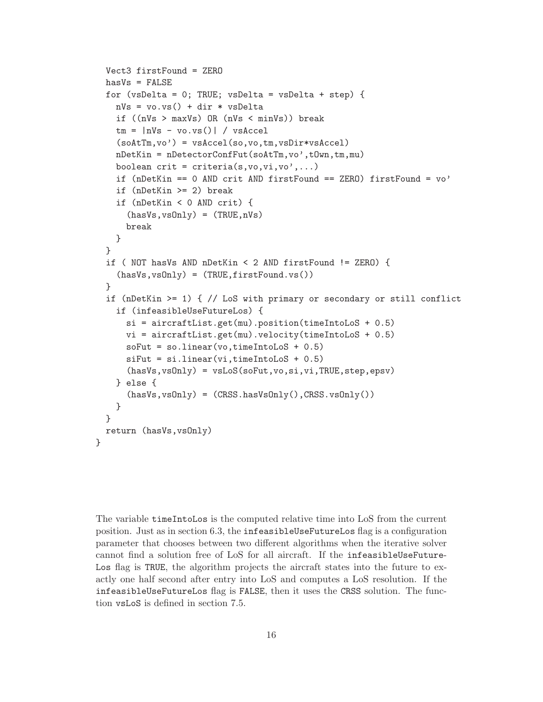```
Vect3 firstFound = ZERO
  hasVs = FALSE
  for (vsDelta = 0; TRUE; vsDelta = vsDelta + step) {
    nVs = v0.vs() + dir * vsleltaif ((nVs > maxVs) OR (nVs < minVs)) break
    tm = |nVs - vo.\text{vs}()| / vs \text{Accel}(soAtTm,vo') = vsAccel(so,vo,tm,vsDir*vsAccel)nDetKin = nDetectorConfFut(soAtTm,vo',tOwn,tm,mu)
    boolean crit = criteria(s, vo,vi, vo',...)
    if (nDetKin == 0 AND crit AND firstFound == ZERO) firstFound = vo'
    if (nDetKin >= 2) break
    if (nDetKin < 0 AND crit) {
      (hasVs, vsOnly) = (TRUE, nVs)break
    }
  }
  if ( NOT hasVs AND nDetKin < 2 AND firstFound != ZERO) {
    (hasVs,vsOnly) = (TRUE,firstFound.vs())
  }
  if (nDetKin >= 1) { // LoS with primary or secondary or still conflict
    if (infeasibleUseFutureLos) {
      si = aircraftList.get(mu) . position(timeIntoLoS + 0.5)vi = aircraftList.get(mu).velocity(timeIntoLoS + 0.5)
      softmax = sou = new(vo, timeIntoLoS + 0.5)sifut = si.linear(vi, timeIntoLoS + 0.5)(hasVs,vsOnly) = vsLoS(soFut,vo,si,vi,TRUE,step,epsv)
    } else {
      (hasVs, vsOnly) = (CRSS. hasVsOnly(), CRSS. vsOnly())}
  }
  return (hasVs,vsOnly)
}
```
The variable timeIntoLos is the computed relative time into LoS from the current position. Just as in section 6.3, the infeasibleUseFutureLos flag is a configuration parameter that chooses between two different algorithms when the iterative solver cannot find a solution free of LoS for all aircraft. If the infeasibleUseFuture-Los flag is TRUE, the algorithm projects the aircraft states into the future to exactly one half second after entry into LoS and computes a LoS resolution. If the infeasibleUseFutureLos flag is FALSE, then it uses the CRSS solution. The function vsLoS is defined in section 7.5.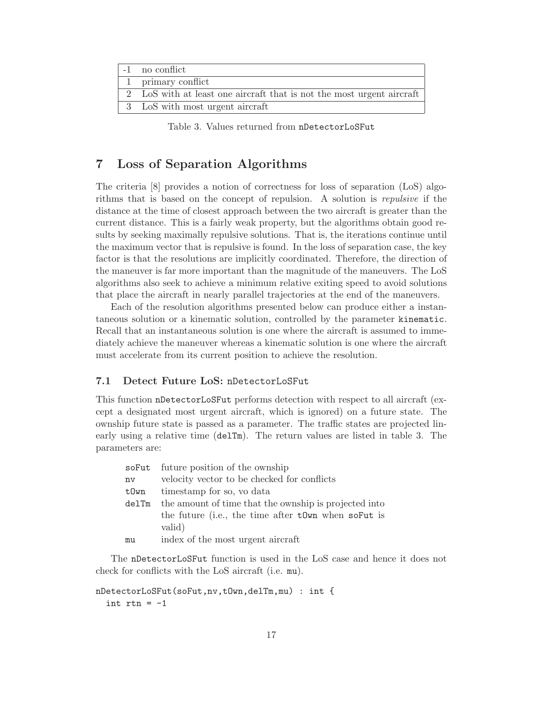| -1 no conflict                                                        |
|-----------------------------------------------------------------------|
| 1 primary conflict                                                    |
| 2 LoS with at least one aircraft that is not the most urgent aircraft |
| 3 LoS with most urgent aircraft                                       |

Table 3. Values returned from nDetectorLoSFut

## 7 Loss of Separation Algorithms

The criteria [8] provides a notion of correctness for loss of separation (LoS) algorithms that is based on the concept of repulsion. A solution is repulsive if the distance at the time of closest approach between the two aircraft is greater than the current distance. This is a fairly weak property, but the algorithms obtain good results by seeking maximally repulsive solutions. That is, the iterations continue until the maximum vector that is repulsive is found. In the loss of separation case, the key factor is that the resolutions are implicitly coordinated. Therefore, the direction of the maneuver is far more important than the magnitude of the maneuvers. The LoS algorithms also seek to achieve a minimum relative exiting speed to avoid solutions that place the aircraft in nearly parallel trajectories at the end of the maneuvers.

Each of the resolution algorithms presented below can produce either a instantaneous solution or a kinematic solution, controlled by the parameter kinematic. Recall that an instantaneous solution is one where the aircraft is assumed to immediately achieve the maneuver whereas a kinematic solution is one where the aircraft must accelerate from its current position to achieve the resolution.

#### 7.1 Detect Future LoS: nDetectorLoSFut

This function nDetectorLoSFut performs detection with respect to all aircraft (except a designated most urgent aircraft, which is ignored) on a future state. The ownship future state is passed as a parameter. The traffic states are projected linearly using a relative time (delTm). The return values are listed in table 3. The parameters are:

|       | soFut future position of the ownship                  |  |  |  |  |  |
|-------|-------------------------------------------------------|--|--|--|--|--|
| nv    | velocity vector to be checked for conflicts           |  |  |  |  |  |
| tOwn  | timestamp for so, vo data                             |  |  |  |  |  |
| delTm | the amount of time that the ownship is projected into |  |  |  |  |  |
|       | the future (i.e., the time after town when so Fut is  |  |  |  |  |  |
|       | valid)                                                |  |  |  |  |  |
| mu    | index of the most urgent aircraft                     |  |  |  |  |  |

The nDetectorLoSFut function is used in the LoS case and hence it does not check for conflicts with the LoS aircraft (i.e. mu).

```
nDetectorLoSFut(soFut,nv,tOwn,delTm,mu) : int {
  int rtn = -1
```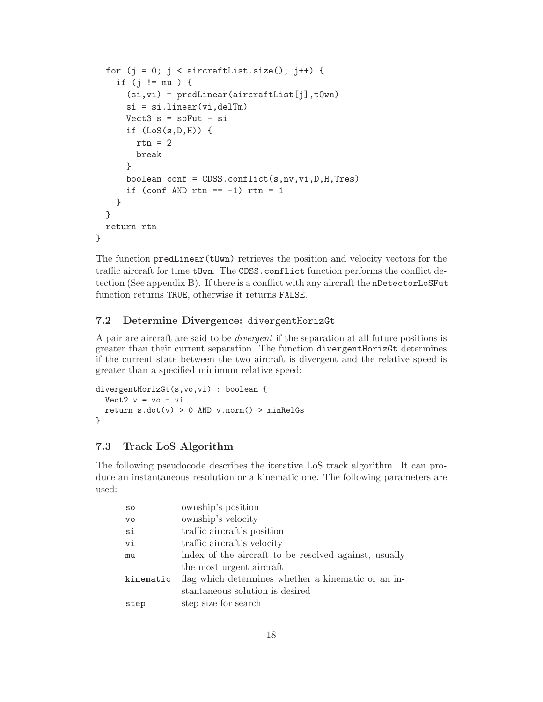```
for (j = 0; j < aircraftList.size(); j++) {
    if (j != mu ) {
      (si,vi) = predLinear(aircraftList[j],tOwn)
      si = si.linear(vi,delTm)
      Vect3 s = softut - siif (LoS(s,D,H)) {
        rtn = 2break
      }
      boolean conf = CDSS.conflict(s,nv,vi,D,H,Tres)
      if (conf AND rtn == -1) rtn = 1
    }
  }
  return rtn
}
```
The function  $predLinear(tOwn)$  retrieves the position and velocity vectors for the traffic aircraft for time tOwn. The CDSS.conflict function performs the conflict detection (See appendix B). If there is a conflict with any aircraft the nDetectorLoSFut function returns TRUE, otherwise it returns FALSE.

#### 7.2 Determine Divergence: divergentHorizGt

A pair are aircraft are said to be divergent if the separation at all future positions is greater than their current separation. The function divergentHorizGt determines if the current state between the two aircraft is divergent and the relative speed is greater than a specified minimum relative speed:

```
divergentHorizGt(s,vo,vi) : boolean {
 Vect2 v = v_0 - vi
  return s.dot(v) > 0 AND v.norm() > minRelGs}
```
#### 7.3 Track LoS Algorithm

The following pseudocode describes the iterative LoS track algorithm. It can produce an instantaneous resolution or a kinematic one. The following parameters are used:

| SO        | ownship's position                                    |
|-----------|-------------------------------------------------------|
| <b>VO</b> | ownship's velocity                                    |
| si        | traffic aircraft's position                           |
| vi        | traffic aircraft's velocity                           |
| mu        | index of the aircraft to be resolved against, usually |
|           | the most urgent aircraft                              |
| kinematic | flag which determines whether a kinematic or an in-   |
|           | stantaneous solution is desired                       |
| step      | step size for search                                  |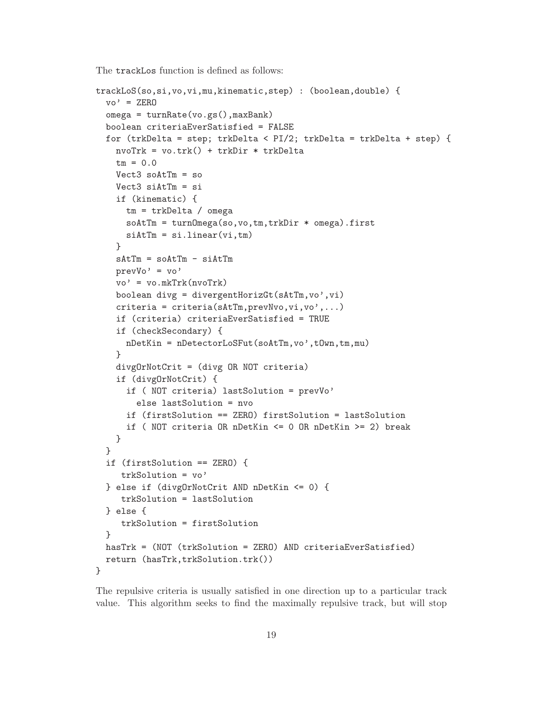The trackLos function is defined as follows:

```
trackLoS(so,si,vo,vi,mu,kinematic,step) : (boolean,double) {
  vo' = ZEROomega = turnRate(vo.gs(),maxBank)
  boolean criteriaEverSatisfied = FALSE
  for (trkDelta = step; trkDelta < PI/2; trkDelta = trkDelta + step) {
    nvoTrk = vo.trk() + trkDir * trkDelta
    tm = 0.0Vect3 soAttTm = soVect3 siAtTm = si
    if (kinematic) {
      tm = trkDelta / omega
      soAtTm = turnOmega(so,vo,tm,trkDir * omega).first
      sintTm = si.linear(vi,tm)}
    sAtTm = soAtTm - siAtTmprevVo' = vo'
    vo' = vo.mkTrk(nvoTrk)
    boolean divg = divergentHorizGt(sAtTm,vo',vi)
    criterion = criteria(sAtTm,prevNvo, vi,vo',...)if (criteria) criteriaEverSatisfied = TRUE
    if (checkSecondary) {
      nDetKin = nDetectorLoSFut(soAtTm,vo',tOwn,tm,mu)
    }
    divgOrNotCrit = (divg OR NOT criteria)
    if (divgOrNotCrit) {
      if ( NOT criteria) lastSolution = prevVo'
        else lastSolution = nvo
      if (firstSolution == ZERO) firstSolution = lastSolution
      if ( NOT criteria OR nDetKin <= 0 OR nDetKin >= 2) break
    }
  }
  if (firstSolution == ZERO) {
     trkSolution = vo'
  } else if (divgOrNotCrit AND nDetKin <= 0) {
     trkSolution = lastSolution
  } else {
     trkSolution = firstSolution
  }
  hasTrk = (NOT (trkSolution = ZERO) AND criteriaEverSatisfied)
  return (hasTrk,trkSolution.trk())
}
```
The repulsive criteria is usually satisfied in one direction up to a particular track value. This algorithm seeks to find the maximally repulsive track, but will stop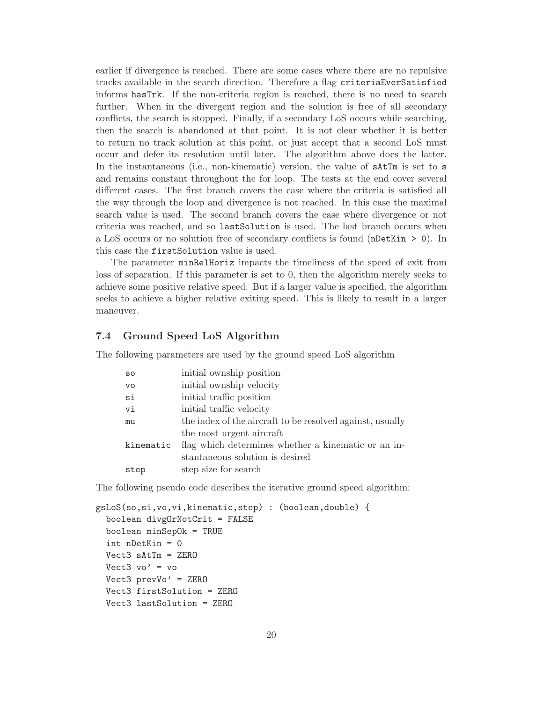earlier if divergence is reached. There are some cases where there are no repulsive tracks available in the search direction. Therefore a flag criteriaEverSatisfied informs hasTrk. If the non-criteria region is reached, there is no need to search further. When in the divergent region and the solution is free of all secondary conflicts, the search is stopped. Finally, if a secondary LoS occurs while searching, then the search is abandoned at that point. It is not clear whether it is better to return no track solution at this point, or just accept that a second LoS must occur and defer its resolution until later. The algorithm above does the latter. In the instantaneous (i.e., non-kinematic) version, the value of  $\texttt{startm}$  is set to s and remains constant throughout the for loop. The tests at the end cover several different cases. The first branch covers the case where the criteria is satisfied all the way through the loop and divergence is not reached. In this case the maximal search value is used. The second branch covers the case where divergence or not criteria was reached, and so lastSolution is used. The last branch occurs when a LoS occurs or no solution free of secondary conflicts is found (nDetKin > 0). In this case the firstSolution value is used.

The parameter minRelHoriz impacts the timeliness of the speed of exit from loss of separation. If this parameter is set to 0, then the algorithm merely seeks to achieve some positive relative speed. But if a larger value is specified, the algorithm seeks to achieve a higher relative exiting speed. This is likely to result in a larger maneuver.

#### 7.4 Ground Speed LoS Algorithm

The following parameters are used by the ground speed LoS algorithm

| SO        | initial ownship position                                  |
|-----------|-----------------------------------------------------------|
| <b>VO</b> | initial ownship velocity                                  |
| si        | initial traffic position                                  |
| vi        | initial traffic velocity                                  |
| mu        | the index of the aircraft to be resolved against, usually |
|           | the most urgent aircraft                                  |
| kinematic | flag which determines whether a kinematic or an in-       |
|           | stantaneous solution is desired                           |
| step      | step size for search                                      |

The following pseudo code describes the iterative ground speed algorithm:

```
gsLoS(so,si,vo,vi,kinematic,step) : (boolean,double) {
 boolean divgOrNotCrit = FALSE
 boolean minSepOk = TRUE
  int nDetKin = 0
 Vect3 sAtTm = ZERO
 Vect3 vo' = vo
 Vect3 prevVo' = ZERO
 Vect3 firstSolution = ZERO
 Vect3 lastSolution = ZERO
```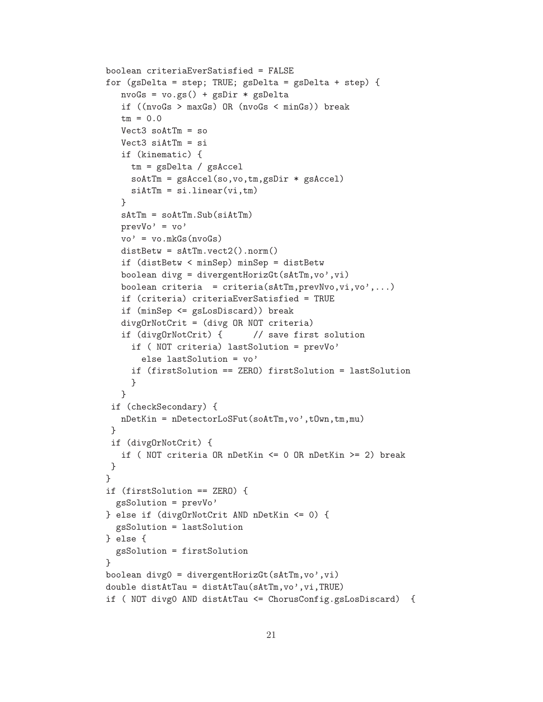```
boolean criteriaEverSatisfied = FALSE
for (gsDelta = step; TRUE; gsDelta = gsDelta + step) {
   nvoGs = vo.gs() + gsDir * gsDelta
   if ((nvoGs > maxGs) OR (nvoGs < minGs)) break
   tm = 0.0Vect3 soAtTm = so
   Vect3 siAtTm = si
   if (kinematic) {
     tm = gsDelta / gsAccel
     soAtTm = gsAccel(so,vo,tm,gsDir * gsAccel)
     sintTm = si.linear(vi,tm)}
   sAtTm = soAtTm.Sub(siAtTm)
   prevVo' = vo'
   vo' = vo.mkGs(nvoGs)distBetw = sAtTm.vect2().norm()
   if (distBetw < minSep) minSep = distBetw
   boolean divg = divergentHorizGt(sAtTm,vo',vi)
   boolean criteria = criteria(\texttt{SAtTm}, \texttt{prevNvo}, \texttt{vi}, \texttt{vo}),...)
   if (criteria) criteriaEverSatisfied = TRUE
   if (minSep <= gsLosDiscard)) break
   divgOrNotCrit = (divg OR NOT criteria)
   if (divgOrNotCrit) { // save first solution
     if ( NOT criteria) lastSolution = prevVo'
       else lastSolution = vo'
     if (firstSolution == ZERO) firstSolution = lastSolution
     }
   }
 if (checkSecondary) {
  nDetKin = nDetectorLoSFut(soAtTm,vo',tOwn,tm,mu)
 }
 if (divgOrNotCrit) {
   if ( NOT criteria OR nDetKin <= 0 OR nDetKin >= 2) break
}
}
if (firstSolution == ZERO) {
  gsSolution = prevVo'
} else if (divgOrNotCrit AND nDetKin <= 0) {
  gsSolution = lastSolution
} else {
  gsSolution = firstSolution
}
boolean divg0 = divergentHorizGt(sAtTm, vo', vi)
double distAtTau = distAtTau(sAtTm,vo',vi,TRUE)
if ( NOT divg0 AND distAtTau <= ChorusConfig.gsLosDiscard) {
```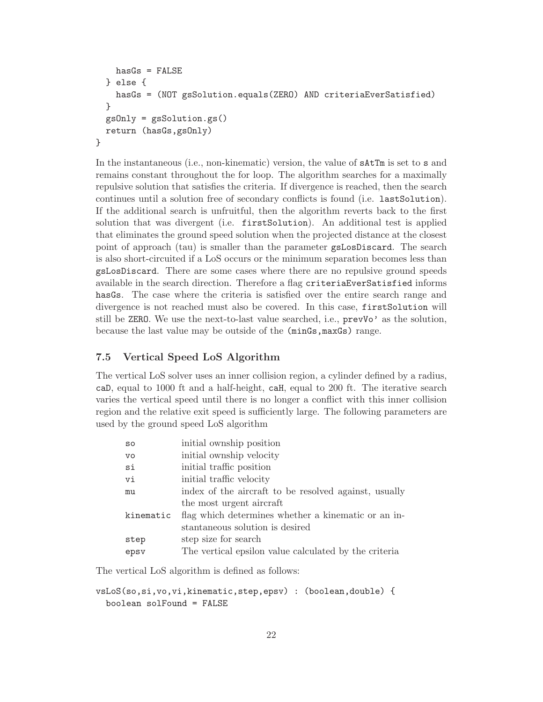```
hasGs = FALSE} else {
   hasGs = (NOT gsSolution.equals(ZERO) AND criteriaEverSatisfied)
 }
 gsOnly = gsSolution.gs()
 return (hasGs,gsOnly)
}
```
In the instantaneous (i.e., non-kinematic) version, the value of  $\texttt{satTm}$  is set to s and remains constant throughout the for loop. The algorithm searches for a maximally repulsive solution that satisfies the criteria. If divergence is reached, then the search continues until a solution free of secondary conflicts is found (i.e. lastSolution). If the additional search is unfruitful, then the algorithm reverts back to the first solution that was divergent (i.e. firstSolution). An additional test is applied that eliminates the ground speed solution when the projected distance at the closest point of approach (tau) is smaller than the parameter gsLosDiscard. The search is also short-circuited if a LoS occurs or the minimum separation becomes less than gsLosDiscard. There are some cases where there are no repulsive ground speeds available in the search direction. Therefore a flag criteriaEverSatisfied informs hasGs. The case where the criteria is satisfied over the entire search range and divergence is not reached must also be covered. In this case, firstSolution will still be ZERO. We use the next-to-last value searched, i.e., prevVo' as the solution, because the last value may be outside of the (minGs,maxGs) range.

#### 7.5 Vertical Speed LoS Algorithm

The vertical LoS solver uses an inner collision region, a cylinder defined by a radius, caD, equal to 1000 ft and a half-height, caH, equal to 200 ft. The iterative search varies the vertical speed until there is no longer a conflict with this inner collision region and the relative exit speed is sufficiently large. The following parameters are used by the ground speed LoS algorithm

| SO        | initial ownship position                              |
|-----------|-------------------------------------------------------|
| <b>VO</b> | initial ownship velocity                              |
| si        | initial traffic position                              |
| vi        | initial traffic velocity                              |
| mu        | index of the aircraft to be resolved against, usually |
|           | the most urgent aircraft                              |
| kinematic | flag which determines whether a kinematic or an in-   |
|           | stantaneous solution is desired                       |
| step      | step size for search                                  |
| epsv      | The vertical epsilon value calculated by the criteria |

The vertical LoS algorithm is defined as follows:

```
vsLoS(so,si,vo,vi,kinematic,step,epsv) : (boolean,double) {
 boolean solFound = FALSE
```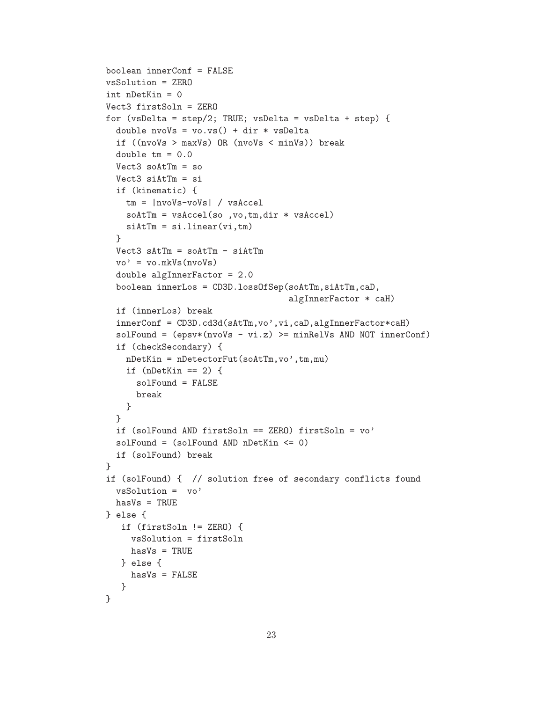```
boolean innerConf = FALSE
vsSolution = ZERO
int nDetKin = 0
Vect3 firstSoln = ZERO
for (vsDelta = step/2; TRUE; vsDelta = vsDelta + step) {
  double nvoVs = vo.vs() + dir * vsDelta
  if ((nvoVs > maxVs) OR (nvoVs < minVs)) break
 double tm = 0.0Vect3 soAttTm = soVect3 siAtTm = siif (kinematic) {
   tm = |nvoVs-voVs| / vsAccel
   soAtTm = vsAccel(so ,vo,tm,dir * vsAccel)
   sintTm = si.linear(vi,tm)}
 Vect3 sAtTm = soAtTm - siAtTm
 vo' = vo.mkVs(nvoVs)
 double algInnerFactor = 2.0
 boolean innerLos = CD3D.lossOfSep(soAtTm,siAtTm,caD,
                                    algInnerFactor * caH)
 if (innerLos) break
  innerConf = CD3D.cd3d(sAtTm,vo',vi,caD,algInnerFactor*caH)
 solFound = (epsv*(nvoVs - vi.z) >= minRelVs AND NOT innerConf)if (checkSecondary) {
   nDetKin = nDetectorFut(soAtTm,vo',tm,mu)if (nDetKin == 2) {
     solFound = FALSE
     break
   }
 }
  if (solFound AND firstSoln == ZERO) firstSoln = vo'
 solFound = (solFound AND nDetKin <= 0)
 if (solFound) break
}
if (solFound) { // solution free of secondary conflicts found
 vsSolution = vo'
 hasVs = TRUE} else {
   if (firstSoln != ZERO) {
    vsSolution = firstSoln
    hasVs = TRUE} else {
    hasVs = FALSE
  }
}
```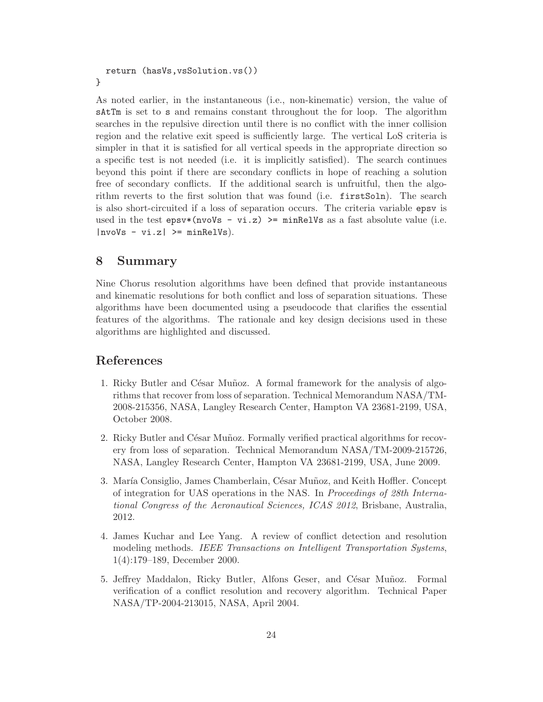```
return (hasVs,vsSolution.vs())
}
```
As noted earlier, in the instantaneous (i.e., non-kinematic) version, the value of sAtTm is set to s and remains constant throughout the for loop. The algorithm searches in the repulsive direction until there is no conflict with the inner collision region and the relative exit speed is sufficiently large. The vertical LoS criteria is simpler in that it is satisfied for all vertical speeds in the appropriate direction so a specific test is not needed (i.e. it is implicitly satisfied). The search continues beyond this point if there are secondary conflicts in hope of reaching a solution free of secondary conflicts. If the additional search is unfruitful, then the algorithm reverts to the first solution that was found (i.e. firstSoln). The search is also short-circuited if a loss of separation occurs. The criteria variable epsv is used in the test epsy  $(nv$ oVs - vi.z) >= minRelVs as a fast absolute value (i.e.  $|nv\overline{o}$  -  $vi.z|$  >=  $minRelVs$ ).

## 8 Summary

Nine Chorus resolution algorithms have been defined that provide instantaneous and kinematic resolutions for both conflict and loss of separation situations. These algorithms have been documented using a pseudocode that clarifies the essential features of the algorithms. The rationale and key design decisions used in these algorithms are highlighted and discussed.

### References

- 1. Ricky Butler and César Muñoz. A formal framework for the analysis of algorithms that recover from loss of separation. Technical Memorandum NASA/TM-2008-215356, NASA, Langley Research Center, Hampton VA 23681-2199, USA, October 2008.
- 2. Ricky Butler and César Muñoz. Formally verified practical algorithms for recovery from loss of separation. Technical Memorandum NASA/TM-2009-215726, NASA, Langley Research Center, Hampton VA 23681-2199, USA, June 2009.
- 3. María Consiglio, James Chamberlain, César Muñoz, and Keith Hoffler. Concept of integration for UAS operations in the NAS. In Proceedings of 28th International Congress of the Aeronautical Sciences, ICAS 2012, Brisbane, Australia, 2012.
- 4. James Kuchar and Lee Yang. A review of conflict detection and resolution modeling methods. IEEE Transactions on Intelligent Transportation Systems, 1(4):179–189, December 2000.
- 5. Jeffrey Maddalon, Ricky Butler, Alfons Geser, and César Muñoz. Formal verification of a conflict resolution and recovery algorithm. Technical Paper NASA/TP-2004-213015, NASA, April 2004.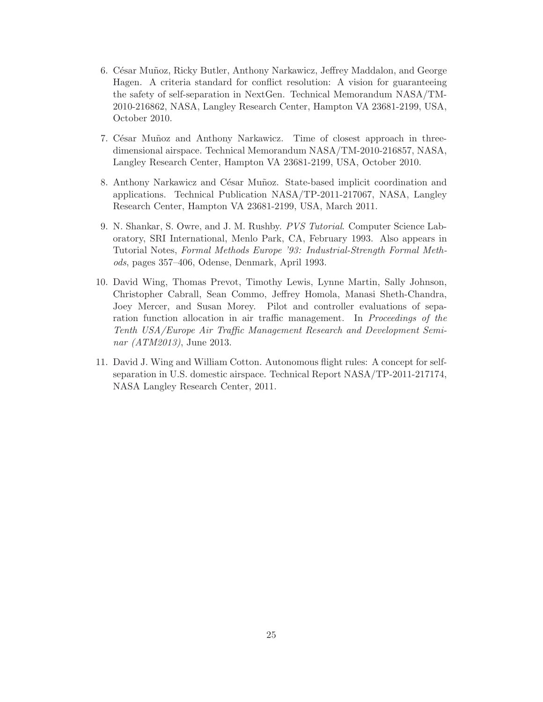- 6. C´esar Mu˜noz, Ricky Butler, Anthony Narkawicz, Jeffrey Maddalon, and George Hagen. A criteria standard for conflict resolution: A vision for guaranteeing the safety of self-separation in NextGen. Technical Memorandum NASA/TM-2010-216862, NASA, Langley Research Center, Hampton VA 23681-2199, USA, October 2010.
- 7. César Muñoz and Anthony Narkawicz. Time of closest approach in threedimensional airspace. Technical Memorandum NASA/TM-2010-216857, NASA, Langley Research Center, Hampton VA 23681-2199, USA, October 2010.
- 8. Anthony Narkawicz and César Muñoz. State-based implicit coordination and applications. Technical Publication NASA/TP-2011-217067, NASA, Langley Research Center, Hampton VA 23681-2199, USA, March 2011.
- 9. N. Shankar, S. Owre, and J. M. Rushby. PVS Tutorial. Computer Science Laboratory, SRI International, Menlo Park, CA, February 1993. Also appears in Tutorial Notes, Formal Methods Europe '93: Industrial-Strength Formal Methods, pages 357–406, Odense, Denmark, April 1993.
- 10. David Wing, Thomas Prevot, Timothy Lewis, Lynne Martin, Sally Johnson, Christopher Cabrall, Sean Commo, Jeffrey Homola, Manasi Sheth-Chandra, Joey Mercer, and Susan Morey. Pilot and controller evaluations of separation function allocation in air traffic management. In Proceedings of the Tenth USA/Europe Air Traffic Management Research and Development Seminar (ATM2013), June 2013.
- 11. David J. Wing and William Cotton. Autonomous flight rules: A concept for selfseparation in U.S. domestic airspace. Technical Report NASA/TP-2011-217174, NASA Langley Research Center, 2011.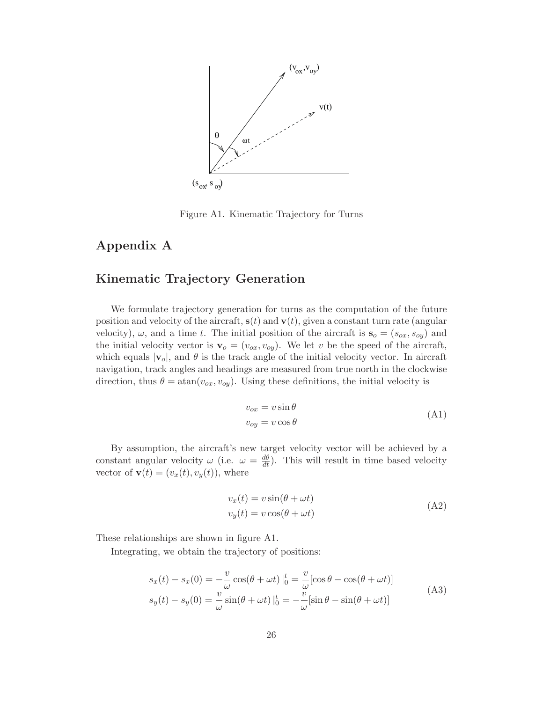

Figure A1. Kinematic Trajectory for Turns

## Appendix A

## Kinematic Trajectory Generation

We formulate trajectory generation for turns as the computation of the future position and velocity of the aircraft,  $s(t)$  and  $v(t)$ , given a constant turn rate (angular velocity),  $\omega$ , and a time t. The initial position of the aircraft is  $s_o = (s_{ox}, s_{oy})$  and the initial velocity vector is  $\mathbf{v}_o = (v_{ox}, v_{oy})$ . We let v be the speed of the aircraft, which equals  $|v_0|$ , and  $\theta$  is the track angle of the initial velocity vector. In aircraft navigation, track angles and headings are measured from true north in the clockwise direction, thus  $\theta = \text{atan}(v_{ox}, v_{oy})$ . Using these definitions, the initial velocity is

$$
v_{ox} = v \sin \theta
$$
  
\n
$$
v_{oy} = v \cos \theta
$$
\n(A1)

By assumption, the aircraft's new target velocity vector will be achieved by a constant angular velocity  $\omega$  (i.e.  $\omega = \frac{d\theta}{dt}$ ). This will result in time based velocity vector of  $\mathbf{v}(t)=(v_x(t), v_y(t))$ , where

$$
v_x(t) = v \sin(\theta + \omega t)
$$
  
\n
$$
v_y(t) = v \cos(\theta + \omega t)
$$
\n(A2)

These relationships are shown in figure A1.

Integrating, we obtain the trajectory of positions:

$$
s_x(t) - s_x(0) = -\frac{v}{\omega}\cos(\theta + \omega t)\Big|_0^t = -\frac{v}{\omega}[\cos\theta - \cos(\theta + \omega t)]
$$
  
\n
$$
s_y(t) - s_y(0) = \frac{v}{\omega}\sin(\theta + \omega t)\Big|_0^t = -\frac{v}{\omega}[\sin\theta - \sin(\theta + \omega t)]
$$
\n(A3)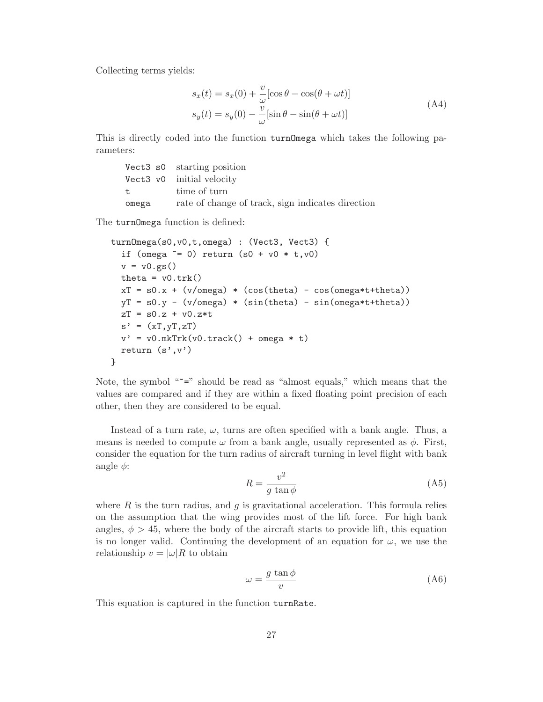Collecting terms yields:

$$
s_x(t) = s_x(0) + \frac{v}{\omega} [\cos \theta - \cos(\theta + \omega t)]
$$
  
\n
$$
s_y(t) = s_y(0) - \frac{v}{\omega} [\sin \theta - \sin(\theta + \omega t)]
$$
\n(A4)

This is directly coded into the function turnOmega which takes the following parameters:

|              | Vect3 s0 starting position                        |
|--------------|---------------------------------------------------|
|              | Vect3 v0 initial velocity                         |
| $\mathbf{t}$ | time of turn                                      |
| omega        | rate of change of track, sign indicates direction |

The turnOmega function is defined:

```
turnOmega(s0,v0,t,omega) : (Vect3, Vect3) {
  if (omega \tilde{=} 0) return (s0 + v0 * t, v0)
  v = v0.gs()theta = v0.trk()xT = s0.x + (v/omega) * (cos(theta) - cos(omega*t+theta))yT = s0.y - (v/omega) * (sin(theta) - sin(omega*t+theta))zT = s0.z + v0.z *ts' = (xT, yT, zT)v' = v0.mkTrk(v0.track() + omega * t)return (s', v')}
```
Note, the symbol " $z =$ " should be read as "almost equals," which means that the values are compared and if they are within a fixed floating point precision of each other, then they are considered to be equal.

Instead of a turn rate,  $\omega$ , turns are often specified with a bank angle. Thus, a means is needed to compute  $\omega$  from a bank angle, usually represented as  $\phi$ . First, consider the equation for the turn radius of aircraft turning in level flight with bank angle  $\phi$ :

$$
R = \frac{v^2}{g \tan \phi} \tag{A5}
$$

where  $R$  is the turn radius, and  $g$  is gravitational acceleration. This formula relies on the assumption that the wing provides most of the lift force. For high bank angles,  $\phi > 45$ , where the body of the aircraft starts to provide lift, this equation is no longer valid. Continuing the development of an equation for  $\omega$ , we use the relationship  $v = |\omega| R$  to obtain

$$
\omega = \frac{g \tan \phi}{v} \tag{A6}
$$

This equation is captured in the function turnRate.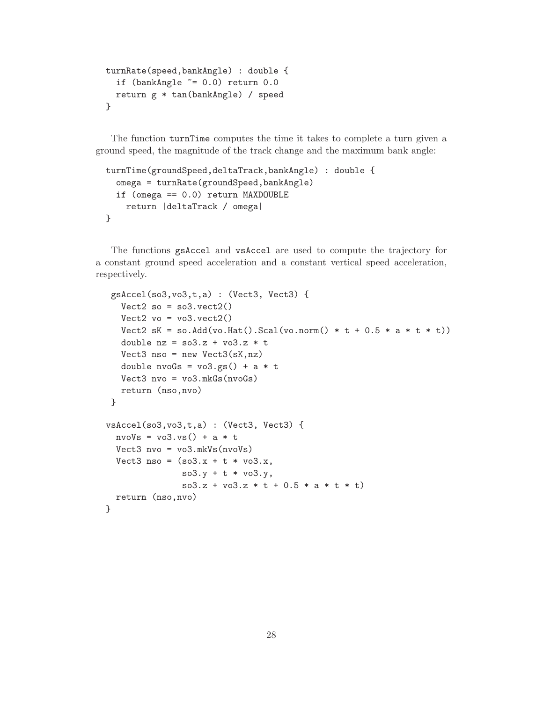```
turnRate(speed,bankAngle) : double {
  if (bankAngle \varepsilon = 0.0) return 0.0return g * tan(bankAngle) / speed
}
```
The function turnTime computes the time it takes to complete a turn given a ground speed, the magnitude of the track change and the maximum bank angle:

```
turnTime(groundSpeed,deltaTrack,bankAngle) : double {
  omega = turnRate(groundSpeed,bankAngle)
  if (omega == 0.0) return MAXDOUBLE
   return |deltaTrack / omega|
}
```
The functions gsAccel and vsAccel are used to compute the trajectory for a constant ground speed acceleration and a constant vertical speed acceleration, respectively.

```
gsAccel(so3,vo3,t,a) : (Vect3, Vect3) {
   Vect2 so = so3.vect2()Vect2 vo = vo3.vect2()
   Vect2 sK = so.Add(vo.Hat().Scal(vo.norm() * t + 0.5 * a * t * t))
   double nz = so3.z + vo3.z * tVect3 nso = new Vect3(sK, nz)
   double nvoGs = vo3.gs() + a * tVect3 nvo = vo3.mkGs(nvoGs)
  return (nso,nvo)
}
vsAccel(so3,vo3,t,a) : (Vect3, Vect3) {
  nvoVs = vo3.vs() + a * tVect3 nvo = vo3.mkVs(nvoVs)
  Vect3 nso = (so3.x + t * vo3.x,\texttt{so3.y + t * vo3.y},
               so3.z + vo3.z * t + 0.5 * a * t * t)return (nso,nvo)
}
```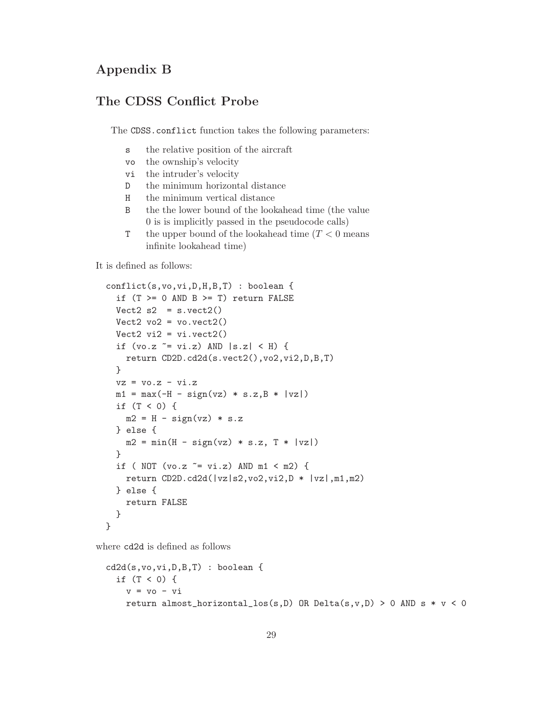## Appendix B

## The CDSS Conflict Probe

The CDSS.conflict function takes the following parameters:

- s the relative position of the aircraft
- vo the ownship's velocity
- vi the intruder's velocity
- D the minimum horizontal distance
- H the minimum vertical distance
- B the the lower bound of the lookahead time (the value 0 is is implicitly passed in the pseudocode calls)
- T the upper bound of the lookahead time  $(T < 0$  means infinite lookahead time)

It is defined as follows:

```
conflict(s,vo,vi,D,H,B,T) : boolean {
  if (T \gt= 0 AND B \gt= T) return FALSE
  Vect2 s2 = s.vect2()Vect2 vo2 = vo.vect2()
  Vect2 vi2 = vi.vect2()
  if (vo.z \tilde{=} vi.z) AND |s.z| < H) {
    return CD2D.cd2d(s.vect2(),vo2,vi2,D,B,T)
  }
  vz = v0.z - vi.zm1 = max(-H - sign(vz) * s.z, B * |vz|)if (T < 0) {
    m2 = H - sign(vz) * s.z} else {
    m2 = min(H - sign(vz) * s.z, T * |vz|)}
  if ( NOT (vo.z \tilde{=} vi.z) AND m1 < m2) {
    return CD2D.cd2d(|vz|s2,vo2,vi2,D * |vz|,m1,m2)
  } else {
    return FALSE
  }
}
```
where cd2d is defined as follows

```
cd2d(s,vo,vi,D,B,T) : boolean {
 if (T < 0) {
   v = v_0 - vireturn almost_horizontal_los(s,D) OR Delta(s,v,D) > 0 AND s * v < 0
```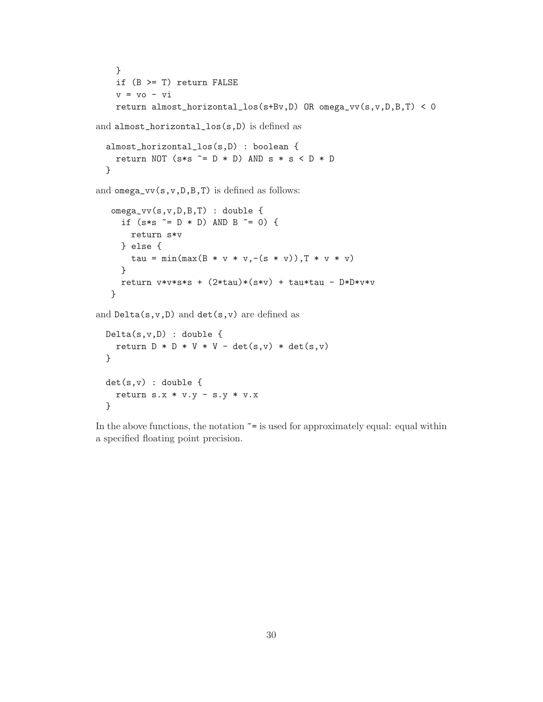```
}
    if (B >= T) return FALSE
    v = vo - vi
    return almost_horizontal_los(s+Bv,D) OR omega_vv(s,v,D,B,T) < 0
and almost_horizontal_los(s,D) is defined as
  almost_horizontal_los(s,D) : boolean {
    return NOT (s*s ~= D * D) AND s * s < D * D}
and omega\_vv(s,v,D,B,T) is defined as follows:
   omega_vv(s,v,D,B,T) : double {
     if (s*s " = D * D) AND B = 0) {
       return s*v
     } else {
       tau = min(max(B * v * v, -(s * v)), T * v * v)
     }
    return v*v*s*s + (2*tau)*(s*v) + tau*tau - D*D*vv*v}
and Delta(s, v, D) and det(s, v) are defined as
 Delta(s,v,D) : double {
   return D * D * V * V - det(s,v) * det(s,v)}
 det(s,v) : double {
    return s.x * v.y - s.y * v.x}
```
In the above functions, the notation  $\tilde{=}$  is used for approximately equal: equal within a specified floating point precision.